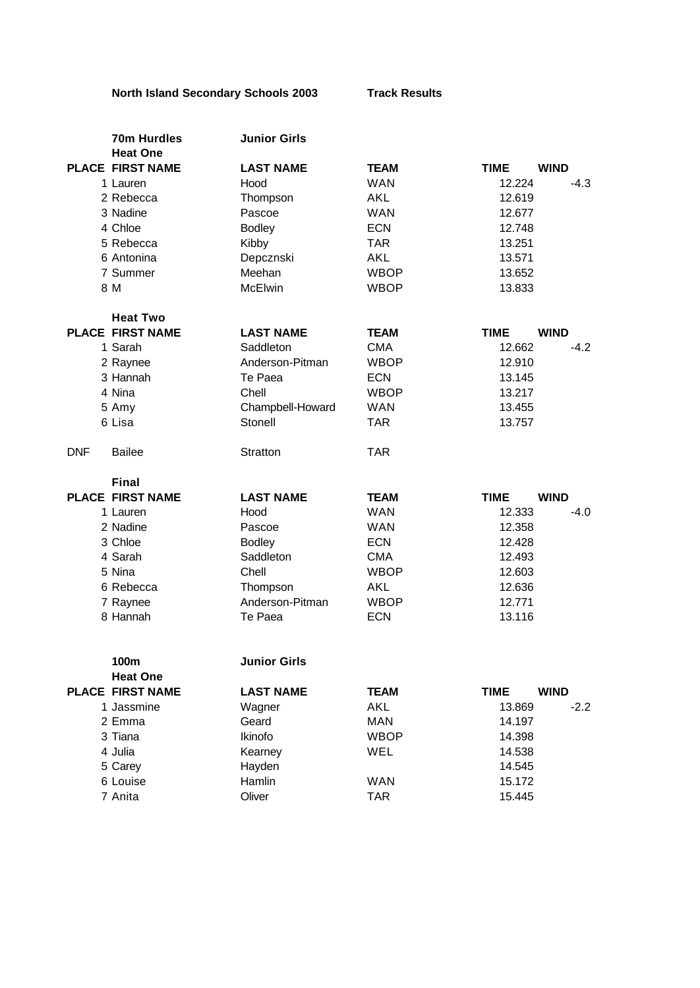## **North Island Secondary Schools 2003 Track Results**

| 70m Hurdles                 | <b>Junior Girls</b> |             |                            |
|-----------------------------|---------------------|-------------|----------------------------|
| <b>Heat One</b>             |                     |             |                            |
| <b>PLACE FIRST NAME</b>     | <b>LAST NAME</b>    | <b>TEAM</b> | <b>WIND</b><br><b>TIME</b> |
| 1 Lauren                    | Hood                | <b>WAN</b>  | 12.224<br>$-4.3$           |
| 2 Rebecca                   | Thompson            | <b>AKL</b>  | 12.619                     |
| 3 Nadine                    | Pascoe              | <b>WAN</b>  | 12.677                     |
| 4 Chloe                     | <b>Bodley</b>       | <b>ECN</b>  | 12.748                     |
| 5 Rebecca                   | Kibby               | <b>TAR</b>  | 13.251                     |
| 6 Antonina                  | Depcznski           | <b>AKL</b>  | 13.571                     |
| 7 Summer                    | Meehan              | <b>WBOP</b> | 13.652                     |
| 8 M                         | <b>McElwin</b>      | <b>WBOP</b> | 13.833                     |
| <b>Heat Two</b>             |                     |             |                            |
| <b>PLACE FIRST NAME</b>     | <b>LAST NAME</b>    | <b>TEAM</b> | <b>WIND</b><br><b>TIME</b> |
| 1 Sarah                     | Saddleton           | <b>CMA</b>  | 12.662<br>$-4.2$           |
| 2 Raynee                    | Anderson-Pitman     | <b>WBOP</b> | 12.910                     |
| 3 Hannah                    | Te Paea             | <b>ECN</b>  | 13.145                     |
| 4 Nina                      | Chell               | <b>WBOP</b> | 13.217                     |
| 5 Amy                       | Champbell-Howard    | <b>WAN</b>  | 13.455                     |
| 6 Lisa                      | Stonell             | <b>TAR</b>  | 13.757                     |
| <b>DNF</b><br><b>Bailee</b> | Stratton            | <b>TAR</b>  |                            |
| <b>Final</b>                |                     |             |                            |
| <b>PLACE FIRST NAME</b>     | <b>LAST NAME</b>    | <b>TEAM</b> | <b>TIME</b><br><b>WIND</b> |
| 1 Lauren                    | Hood                | <b>WAN</b>  | 12.333<br>$-4.0$           |
| 2 Nadine                    | Pascoe              | <b>WAN</b>  | 12.358                     |
| 3 Chloe                     | <b>Bodley</b>       | <b>ECN</b>  | 12.428                     |
| 4 Sarah                     | Saddleton           | <b>CMA</b>  | 12.493                     |
| 5 Nina                      | Chell               | <b>WBOP</b> | 12.603                     |
| 6 Rebecca                   | Thompson            | <b>AKL</b>  | 12.636                     |
| 7 Raynee                    | Anderson-Pitman     | <b>WBOP</b> | 12.771                     |
| 8 Hannah                    | Te Paea             | <b>ECN</b>  | 13.116                     |
| 100m                        | <b>Junior Girls</b> |             |                            |
| <b>Heat One</b>             |                     |             |                            |
| <b>PLACE FIRST NAME</b>     | <b>LAST NAME</b>    | <b>TEAM</b> | <b>WIND</b><br><b>TIME</b> |
| 1 Jassmine                  | Wagner              | <b>AKL</b>  | 13.869<br>$-2.2$           |
| 2 Emma                      | Geard               | <b>MAN</b>  | 14.197                     |
| 3 Tiana                     | Ikinofo             | <b>WBOP</b> | 14.398                     |
| 4 Julia                     | Kearney             | <b>WEL</b>  | 14.538                     |
| 5 Carey                     | Hayden              |             | 14.545                     |
| 6 Louise                    | Hamlin              | <b>WAN</b>  | 15.172                     |
| 7 Anita                     | Oliver              | <b>TAR</b>  | 15.445                     |
|                             |                     |             |                            |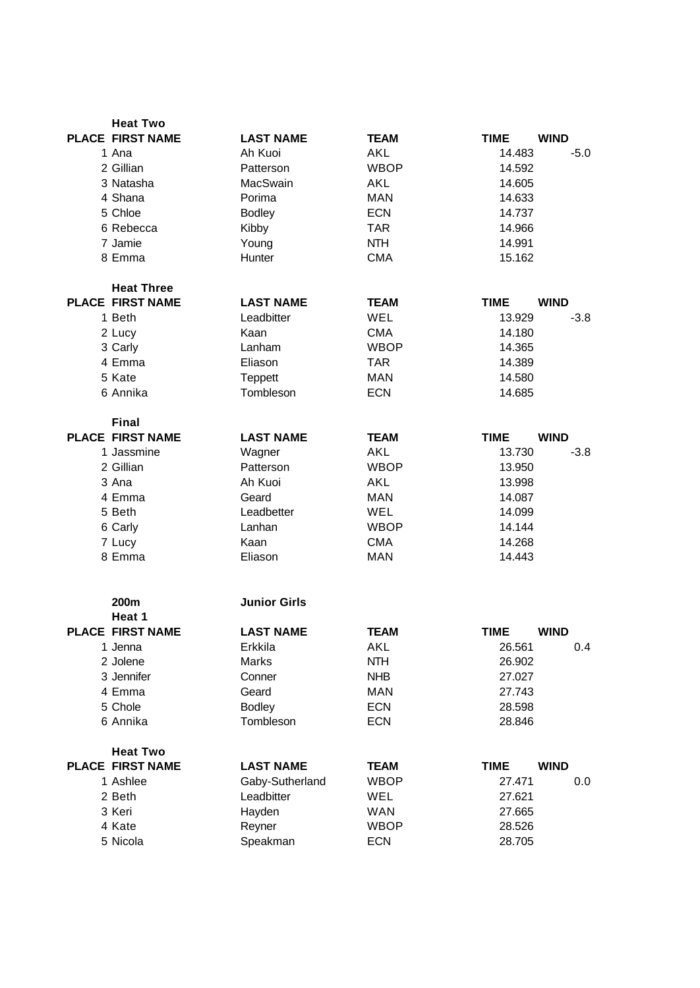| <b>Heat Two</b>         |                     |             |                            |             |
|-------------------------|---------------------|-------------|----------------------------|-------------|
| <b>PLACE FIRST NAME</b> | <b>LAST NAME</b>    | <b>TEAM</b> | <b>TIME</b><br><b>WIND</b> |             |
| 1 Ana                   | Ah Kuoi             | <b>AKL</b>  | 14.483                     | $-5.0$      |
| 2 Gillian               | Patterson           | <b>WBOP</b> | 14.592                     |             |
| 3 Natasha               | MacSwain            | <b>AKL</b>  | 14.605                     |             |
| 4 Shana                 | Porima              | <b>MAN</b>  | 14.633                     |             |
| 5 Chloe                 | <b>Bodley</b>       | <b>ECN</b>  | 14.737                     |             |
| 6 Rebecca               | Kibby               | <b>TAR</b>  | 14.966                     |             |
| 7 Jamie                 | Young               | <b>NTH</b>  | 14.991                     |             |
| 8 Emma                  | Hunter              | <b>CMA</b>  | 15.162                     |             |
| <b>Heat Three</b>       |                     |             |                            |             |
| <b>PLACE FIRST NAME</b> | <b>LAST NAME</b>    | <b>TEAM</b> | <b>TIME</b><br><b>WIND</b> |             |
| 1 Beth                  | Leadbitter          | <b>WEL</b>  | 13.929                     | $-3.8$      |
| 2 Lucy                  | Kaan                | <b>CMA</b>  | 14.180                     |             |
| 3 Carly                 | Lanham              | <b>WBOP</b> | 14.365                     |             |
| 4 Emma                  | Eliason             | <b>TAR</b>  | 14.389                     |             |
| 5 Kate                  | Teppett             | <b>MAN</b>  | 14.580                     |             |
| 6 Annika                | Tombleson           | <b>ECN</b>  | 14.685                     |             |
| <b>Final</b>            |                     |             |                            |             |
| <b>PLACE FIRST NAME</b> | <b>LAST NAME</b>    | <b>TEAM</b> | <b>TIME</b><br><b>WIND</b> |             |
| 1 Jassmine              | Wagner              | AKL         | 13.730                     | $-3.8$      |
| 2 Gillian               | Patterson           | <b>WBOP</b> | 13.950                     |             |
| 3 Ana                   | Ah Kuoi             | AKL         | 13.998                     |             |
| 4 Emma                  | Geard               | <b>MAN</b>  | 14.087                     |             |
| 5 Beth                  | Leadbetter          | WEL         | 14.099                     |             |
| 6 Carly                 | Lanhan              | <b>WBOP</b> | 14.144                     |             |
| 7 Lucy                  | Kaan                | <b>CMA</b>  | 14.268                     |             |
| 8 Emma                  | Eliason             | <b>MAN</b>  | 14.443                     |             |
| 200 <sub>m</sub>        | <b>Junior Girls</b> |             |                            |             |
| Heat 1                  |                     |             |                            |             |
| <b>PLACE FIRST NAME</b> | <b>LAST NAME</b>    | <b>TEAM</b> | <b>TIME</b>                | <b>WIND</b> |
| 1 Jenna                 | Erkkila             | <b>AKL</b>  | 26.561                     | 0.4         |
| 2 Jolene                | <b>Marks</b>        | <b>NTH</b>  | 26.902                     |             |
| 3 Jennifer              | Conner              | <b>NHB</b>  | 27.027                     |             |
| 4 Emma                  | Geard               | <b>MAN</b>  | 27.743                     |             |
| 5 Chole                 | <b>Bodley</b>       | <b>ECN</b>  | 28.598                     |             |
| 6 Annika                | Tombleson           | <b>ECN</b>  | 28.846                     |             |
| <b>Heat Two</b>         |                     |             |                            |             |
| <b>PLACE FIRST NAME</b> | <b>LAST NAME</b>    | <b>TEAM</b> | <b>WIND</b><br><b>TIME</b> |             |
| 1 Ashlee                | Gaby-Sutherland     | <b>WBOP</b> | 27.471                     | 0.0         |
| 2 Beth                  | Leadbitter          | WEL         | 27.621                     |             |
| 3 Keri                  | Hayden              | <b>WAN</b>  | 27.665                     |             |
| 4 Kate                  | Reyner              | <b>WBOP</b> | 28.526                     |             |
| 5 Nicola                | Speakman            | <b>ECN</b>  | 28.705                     |             |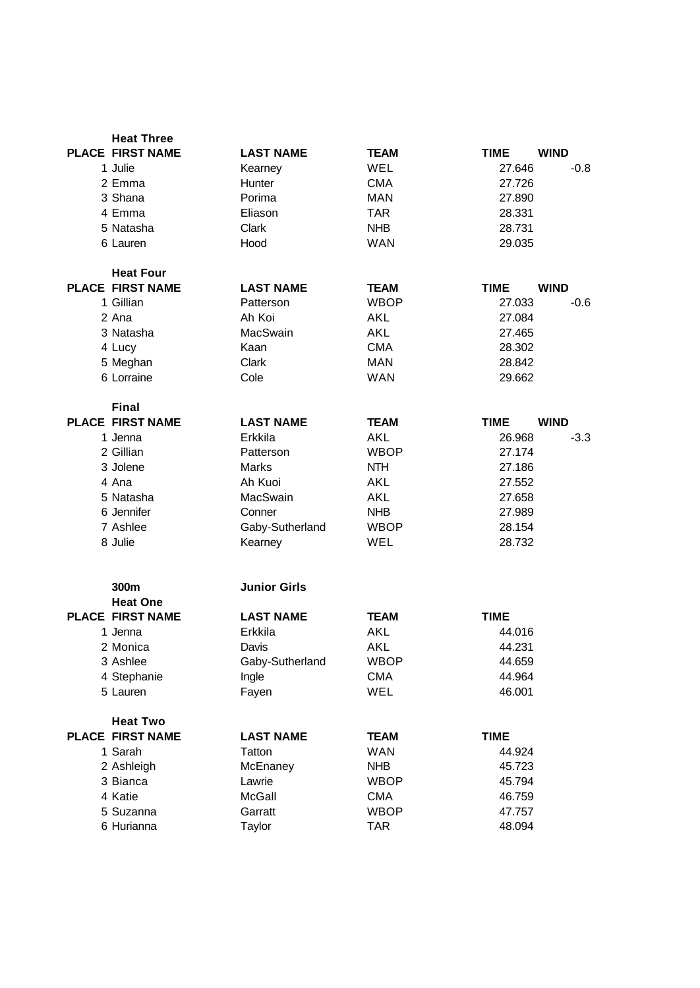| <b>Heat Three</b>       |                     |             |             |             |
|-------------------------|---------------------|-------------|-------------|-------------|
| <b>PLACE FIRST NAME</b> | <b>LAST NAME</b>    | <b>TEAM</b> | <b>TIME</b> | <b>WIND</b> |
| 1 Julie                 | Kearney             | WEL         | 27.646      | $-0.8$      |
| 2 Emma                  | Hunter              | <b>CMA</b>  | 27.726      |             |
| 3 Shana                 | Porima              | <b>MAN</b>  | 27.890      |             |
| 4 Emma                  | Eliason             | <b>TAR</b>  | 28.331      |             |
| 5 Natasha               | Clark               | <b>NHB</b>  | 28.731      |             |
| 6 Lauren                | Hood                | <b>WAN</b>  | 29.035      |             |
| <b>Heat Four</b>        |                     |             |             |             |
| <b>PLACE FIRST NAME</b> | <b>LAST NAME</b>    | <b>TEAM</b> | <b>TIME</b> | <b>WIND</b> |
| 1 Gillian               | Patterson           | <b>WBOP</b> | 27.033      | $-0.6$      |
| 2 Ana                   | Ah Koi              | AKL         | 27.084      |             |
| 3 Natasha               | MacSwain            | <b>AKL</b>  | 27.465      |             |
| 4 Lucy                  | Kaan                | <b>CMA</b>  | 28.302      |             |
| 5 Meghan                | Clark               | <b>MAN</b>  | 28.842      |             |
| 6 Lorraine              | Cole                | <b>WAN</b>  | 29.662      |             |
| <b>Final</b>            |                     |             |             |             |
| <b>PLACE FIRST NAME</b> | <b>LAST NAME</b>    | <b>TEAM</b> | <b>TIME</b> | <b>WIND</b> |
| 1 Jenna                 | Erkkila             | <b>AKL</b>  | 26.968      | $-3.3$      |
| 2 Gillian               | Patterson           | <b>WBOP</b> | 27.174      |             |
| 3 Jolene                | Marks               | <b>NTH</b>  | 27.186      |             |
| 4 Ana                   | Ah Kuoi             | AKL         | 27.552      |             |
| 5 Natasha               | MacSwain            | <b>AKL</b>  | 27.658      |             |
| 6 Jennifer              | Conner              | <b>NHB</b>  | 27.989      |             |
| 7 Ashlee                | Gaby-Sutherland     | <b>WBOP</b> | 28.154      |             |
| 8 Julie                 | Kearney             | WEL         | 28.732      |             |
| 300m                    | <b>Junior Girls</b> |             |             |             |
| <b>Heat One</b>         |                     |             |             |             |
| <b>PLACE FIRST NAME</b> | <b>LAST NAME</b>    | <b>TEAM</b> | <b>TIME</b> |             |
| 1 Jenna                 | Erkkila             | <b>AKL</b>  | 44.016      |             |
| 2 Monica                | Davis               | <b>AKL</b>  | 44.231      |             |
| 3 Ashlee                | Gaby-Sutherland     | <b>WBOP</b> | 44.659      |             |
| 4 Stephanie             | Ingle               | <b>CMA</b>  | 44.964      |             |
| 5 Lauren                | Fayen               | WEL         | 46.001      |             |
| <b>Heat Two</b>         |                     |             |             |             |
| <b>PLACE FIRST NAME</b> | <b>LAST NAME</b>    | <b>TEAM</b> | <b>TIME</b> |             |
| 1 Sarah                 | Tatton              | <b>WAN</b>  | 44.924      |             |
| 2 Ashleigh              | McEnaney            | <b>NHB</b>  | 45.723      |             |
| 3 Bianca                | Lawrie              | <b>WBOP</b> | 45.794      |             |
| 4 Katie                 | <b>McGall</b>       | <b>CMA</b>  | 46.759      |             |
| 5 Suzanna               | Garratt             | <b>WBOP</b> | 47.757      |             |
| 6 Hurianna              | Taylor              | <b>TAR</b>  | 48.094      |             |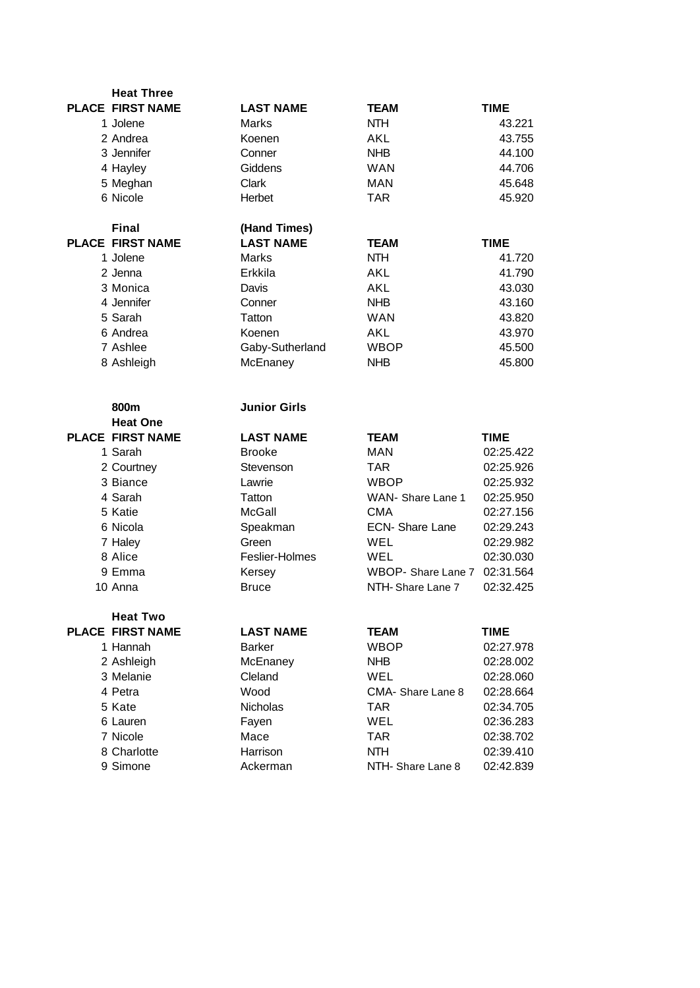| <b>Heat Three</b>       |                      |                        |                        |
|-------------------------|----------------------|------------------------|------------------------|
| <b>PLACE FIRST NAME</b> | <b>LAST NAME</b>     | <b>TEAM</b>            | <b>TIME</b>            |
| 1 Jolene                | Marks                | <b>NTH</b>             | 43.221                 |
| 2 Andrea                | Koenen               | AKL                    | 43.755                 |
| 3 Jennifer              | Conner               | <b>NHB</b>             | 44.100                 |
| 4 Hayley                | Giddens              | <b>WAN</b>             | 44.706                 |
| 5 Meghan                | Clark                | <b>MAN</b>             | 45.648                 |
| 6 Nicole                | Herbet               | <b>TAR</b>             | 45.920                 |
| <b>Final</b>            | (Hand Times)         |                        |                        |
| <b>PLACE FIRST NAME</b> | <b>LAST NAME</b>     | <b>TEAM</b>            | <b>TIME</b>            |
| 1 Jolene                | Marks                | <b>NTH</b>             | 41.720                 |
| 2 Jenna                 | Erkkila              | AKL                    | 41.790                 |
| 3 Monica                | Davis                | AKL                    | 43.030                 |
| 4 Jennifer              | Conner               | <b>NHB</b>             | 43.160                 |
| 5 Sarah                 | Tatton               | <b>WAN</b>             | 43.820                 |
| 6 Andrea                | Koenen               | AKL                    | 43.970                 |
| 7 Ashlee                | Gaby-Sutherland      | <b>WBOP</b>            | 45.500                 |
| 8 Ashleigh              | McEnaney             | <b>NHB</b>             | 45.800                 |
|                         |                      |                        |                        |
| 800m                    | <b>Junior Girls</b>  |                        |                        |
| <b>Heat One</b>         |                      |                        |                        |
|                         |                      |                        |                        |
| <b>PLACE FIRST NAME</b> | <b>LAST NAME</b>     | <b>TEAM</b>            | <b>TIME</b>            |
| 1 Sarah                 | <b>Brooke</b>        | <b>MAN</b>             | 02:25.422              |
| 2 Courtney              | Stevenson            | <b>TAR</b>             | 02:25.926              |
| 3 Biance                | Lawrie               | <b>WBOP</b>            | 02:25.932              |
| 4 Sarah                 | Tatton               | WAN- Share Lane 1      | 02:25.950              |
| 5 Katie                 | McGall               | <b>CMA</b>             | 02:27.156              |
| 6 Nicola                | Speakman             | <b>ECN- Share Lane</b> | 02:29.243              |
| 7 Haley                 | Green                | WEL                    | 02:29.982              |
| 8 Alice                 | Feslier-Holmes       | WEL                    | 02:30.030              |
| 9 Emma                  | Kersey               | WBOP- Share Lane 7     | 02:31.564              |
| 10 Anna                 | <b>Bruce</b>         | NTH-Share Lane 7       | 02:32.425              |
| <b>Heat Two</b>         |                      |                        |                        |
| <b>PLACE FIRST NAME</b> | <b>LAST NAME</b>     | <b>TEAM</b>            | <b>TIME</b>            |
| 1 Hannah                | <b>Barker</b>        | <b>WBOP</b>            | 02:27.978              |
| 2 Ashleigh              | McEnaney             | <b>NHB</b>             | 02:28.002              |
| 3 Melanie               | Cleland              | WEL                    | 02:28.060              |
| 4 Petra                 | Wood                 | CMA-Share Lane 8       | 02:28.664              |
| 5 Kate                  | <b>Nicholas</b>      | <b>TAR</b>             | 02:34.705              |
| 6 Lauren                | Fayen                | <b>WEL</b>             | 02:36.283              |
| 7 Nicole                | Mace                 | <b>TAR</b>             | 02:38.702              |
| 8 Charlotte<br>9 Simone | Harrison<br>Ackerman | <b>NTH</b>             | 02:39.410<br>02:42.839 |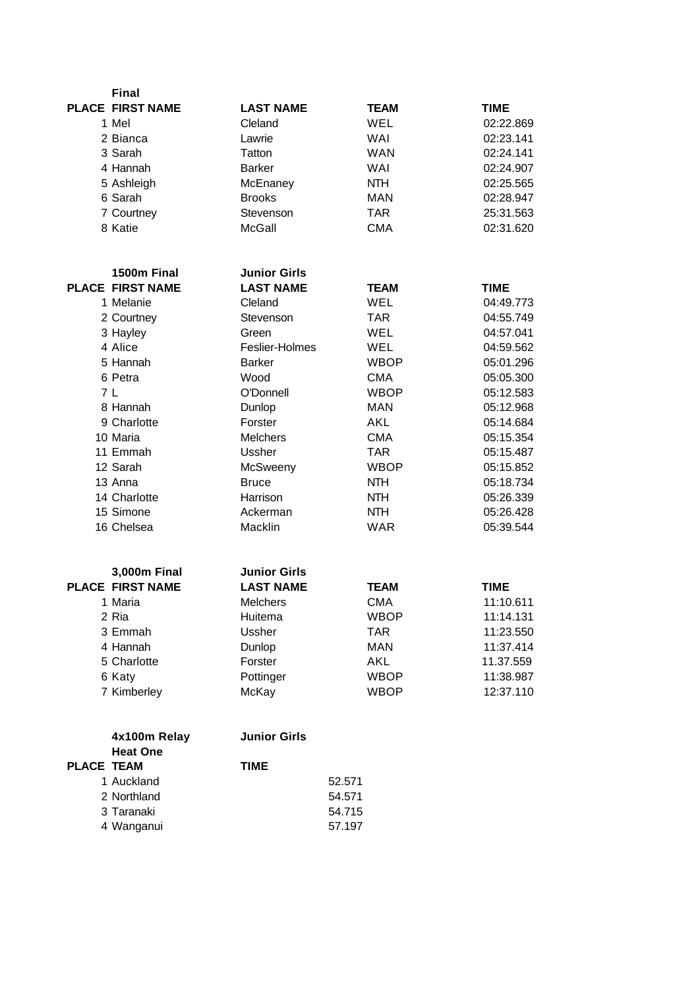| <b>PLACE FIRST NAME</b><br><b>LAST NAME</b><br><b>TIME</b><br>TEAM<br>1 Mel<br>Cleland<br>WEL<br>02:22.869<br>2 Bianca<br>Lawrie<br>WAI<br>02:23.141<br>3 Sarah<br>Tatton<br><b>WAN</b><br>02:24.141<br>4 Hannah<br><b>Barker</b><br><b>WAI</b><br>02:24.907<br><b>NTH</b><br>5 Ashleigh<br>McEnaney<br>02:25.565<br><b>MAN</b><br>6 Sarah<br><b>Brooks</b><br>02:28.947<br>7 Courtney<br><b>TAR</b><br>25:31.563<br>Stevenson<br>02:31.620<br>8 Katie<br><b>McGall</b><br><b>CMA</b><br>1500m Final<br><b>Junior Girls</b><br><b>PLACE FIRST NAME</b><br><b>LAST NAME</b><br><b>TIME</b><br>TEAM<br>1 Melanie<br>Cleland<br>WEL<br>04:49.773<br><b>TAR</b><br>04:55.749<br>2 Courtney<br>Stevenson<br>3 Hayley<br>WEL<br>04:57.041<br>Green<br>4 Alice<br>Feslier-Holmes<br>WEL<br>04:59.562<br>5 Hannah<br><b>Barker</b><br><b>WBOP</b><br>05:01.296<br>6 Petra<br>Wood<br><b>CMA</b><br>05:05.300<br>7 I<br>O'Donnell<br><b>WBOP</b><br>05:12.583<br>8 Hannah<br>Dunlop<br><b>MAN</b><br>05:12.968<br>9 Charlotte<br>Forster<br>AKL<br>05:14.684<br><b>CMA</b><br>10 Maria<br><b>Melchers</b><br>05:15.354<br>11 Emmah<br>Ussher<br><b>TAR</b><br>05:15.487<br>12 Sarah<br>McSweeny<br><b>WBOP</b><br>05:15.852<br>13 Anna<br><b>NTH</b><br>05:18.734<br><b>Bruce</b><br>14 Charlotte<br>Harrison<br><b>NTH</b><br>05:26.339<br>15 Simone<br>Ackerman<br><b>NTH</b><br>05:26.428<br><b>WAR</b><br>16 Chelsea<br>Macklin<br>05:39.544<br><b>Junior Girls</b><br>3,000m Final<br><b>PLACE FIRST NAME</b><br><b>LAST NAME</b><br><b>TEAM</b><br><b>TIME</b><br>1 Maria<br><b>Melchers</b><br><b>CMA</b><br>11:10.611<br>Huitema<br>11:14.131<br>2 Ria<br>WBOP<br>Ussher<br><b>TAR</b><br>11:23.550<br>3 Emmah<br><b>MAN</b><br>4 Hannah<br>11:37.414<br>Dunlop<br>5 Charlotte<br>Forster<br><b>AKL</b><br>11.37.559<br>6 Katy<br>Pottinger<br><b>WBOP</b><br>11:38.987<br>7 Kimberley<br>McKay<br>12:37.110<br><b>WBOP</b><br><b>Junior Girls</b><br>4x100m Relay<br><b>Heat One</b><br><b>PLACE TEAM</b><br><b>TIME</b><br>1 Auckland<br>52.571 | <b>Final</b> |        |  |  |
|--------------------------------------------------------------------------------------------------------------------------------------------------------------------------------------------------------------------------------------------------------------------------------------------------------------------------------------------------------------------------------------------------------------------------------------------------------------------------------------------------------------------------------------------------------------------------------------------------------------------------------------------------------------------------------------------------------------------------------------------------------------------------------------------------------------------------------------------------------------------------------------------------------------------------------------------------------------------------------------------------------------------------------------------------------------------------------------------------------------------------------------------------------------------------------------------------------------------------------------------------------------------------------------------------------------------------------------------------------------------------------------------------------------------------------------------------------------------------------------------------------------------------------------------------------------------------------------------------------------------------------------------------------------------------------------------------------------------------------------------------------------------------------------------------------------------------------------------------------------------------------------------------------------------------------------------------------------------------------------------------------------------------------------------------|--------------|--------|--|--|
|                                                                                                                                                                                                                                                                                                                                                                                                                                                                                                                                                                                                                                                                                                                                                                                                                                                                                                                                                                                                                                                                                                                                                                                                                                                                                                                                                                                                                                                                                                                                                                                                                                                                                                                                                                                                                                                                                                                                                                                                                                                  |              |        |  |  |
|                                                                                                                                                                                                                                                                                                                                                                                                                                                                                                                                                                                                                                                                                                                                                                                                                                                                                                                                                                                                                                                                                                                                                                                                                                                                                                                                                                                                                                                                                                                                                                                                                                                                                                                                                                                                                                                                                                                                                                                                                                                  |              |        |  |  |
|                                                                                                                                                                                                                                                                                                                                                                                                                                                                                                                                                                                                                                                                                                                                                                                                                                                                                                                                                                                                                                                                                                                                                                                                                                                                                                                                                                                                                                                                                                                                                                                                                                                                                                                                                                                                                                                                                                                                                                                                                                                  |              |        |  |  |
|                                                                                                                                                                                                                                                                                                                                                                                                                                                                                                                                                                                                                                                                                                                                                                                                                                                                                                                                                                                                                                                                                                                                                                                                                                                                                                                                                                                                                                                                                                                                                                                                                                                                                                                                                                                                                                                                                                                                                                                                                                                  |              |        |  |  |
|                                                                                                                                                                                                                                                                                                                                                                                                                                                                                                                                                                                                                                                                                                                                                                                                                                                                                                                                                                                                                                                                                                                                                                                                                                                                                                                                                                                                                                                                                                                                                                                                                                                                                                                                                                                                                                                                                                                                                                                                                                                  |              |        |  |  |
|                                                                                                                                                                                                                                                                                                                                                                                                                                                                                                                                                                                                                                                                                                                                                                                                                                                                                                                                                                                                                                                                                                                                                                                                                                                                                                                                                                                                                                                                                                                                                                                                                                                                                                                                                                                                                                                                                                                                                                                                                                                  |              |        |  |  |
|                                                                                                                                                                                                                                                                                                                                                                                                                                                                                                                                                                                                                                                                                                                                                                                                                                                                                                                                                                                                                                                                                                                                                                                                                                                                                                                                                                                                                                                                                                                                                                                                                                                                                                                                                                                                                                                                                                                                                                                                                                                  |              |        |  |  |
|                                                                                                                                                                                                                                                                                                                                                                                                                                                                                                                                                                                                                                                                                                                                                                                                                                                                                                                                                                                                                                                                                                                                                                                                                                                                                                                                                                                                                                                                                                                                                                                                                                                                                                                                                                                                                                                                                                                                                                                                                                                  |              |        |  |  |
|                                                                                                                                                                                                                                                                                                                                                                                                                                                                                                                                                                                                                                                                                                                                                                                                                                                                                                                                                                                                                                                                                                                                                                                                                                                                                                                                                                                                                                                                                                                                                                                                                                                                                                                                                                                                                                                                                                                                                                                                                                                  |              |        |  |  |
|                                                                                                                                                                                                                                                                                                                                                                                                                                                                                                                                                                                                                                                                                                                                                                                                                                                                                                                                                                                                                                                                                                                                                                                                                                                                                                                                                                                                                                                                                                                                                                                                                                                                                                                                                                                                                                                                                                                                                                                                                                                  |              |        |  |  |
|                                                                                                                                                                                                                                                                                                                                                                                                                                                                                                                                                                                                                                                                                                                                                                                                                                                                                                                                                                                                                                                                                                                                                                                                                                                                                                                                                                                                                                                                                                                                                                                                                                                                                                                                                                                                                                                                                                                                                                                                                                                  |              |        |  |  |
|                                                                                                                                                                                                                                                                                                                                                                                                                                                                                                                                                                                                                                                                                                                                                                                                                                                                                                                                                                                                                                                                                                                                                                                                                                                                                                                                                                                                                                                                                                                                                                                                                                                                                                                                                                                                                                                                                                                                                                                                                                                  |              |        |  |  |
|                                                                                                                                                                                                                                                                                                                                                                                                                                                                                                                                                                                                                                                                                                                                                                                                                                                                                                                                                                                                                                                                                                                                                                                                                                                                                                                                                                                                                                                                                                                                                                                                                                                                                                                                                                                                                                                                                                                                                                                                                                                  |              |        |  |  |
|                                                                                                                                                                                                                                                                                                                                                                                                                                                                                                                                                                                                                                                                                                                                                                                                                                                                                                                                                                                                                                                                                                                                                                                                                                                                                                                                                                                                                                                                                                                                                                                                                                                                                                                                                                                                                                                                                                                                                                                                                                                  |              |        |  |  |
|                                                                                                                                                                                                                                                                                                                                                                                                                                                                                                                                                                                                                                                                                                                                                                                                                                                                                                                                                                                                                                                                                                                                                                                                                                                                                                                                                                                                                                                                                                                                                                                                                                                                                                                                                                                                                                                                                                                                                                                                                                                  |              |        |  |  |
|                                                                                                                                                                                                                                                                                                                                                                                                                                                                                                                                                                                                                                                                                                                                                                                                                                                                                                                                                                                                                                                                                                                                                                                                                                                                                                                                                                                                                                                                                                                                                                                                                                                                                                                                                                                                                                                                                                                                                                                                                                                  |              |        |  |  |
|                                                                                                                                                                                                                                                                                                                                                                                                                                                                                                                                                                                                                                                                                                                                                                                                                                                                                                                                                                                                                                                                                                                                                                                                                                                                                                                                                                                                                                                                                                                                                                                                                                                                                                                                                                                                                                                                                                                                                                                                                                                  |              |        |  |  |
|                                                                                                                                                                                                                                                                                                                                                                                                                                                                                                                                                                                                                                                                                                                                                                                                                                                                                                                                                                                                                                                                                                                                                                                                                                                                                                                                                                                                                                                                                                                                                                                                                                                                                                                                                                                                                                                                                                                                                                                                                                                  |              |        |  |  |
|                                                                                                                                                                                                                                                                                                                                                                                                                                                                                                                                                                                                                                                                                                                                                                                                                                                                                                                                                                                                                                                                                                                                                                                                                                                                                                                                                                                                                                                                                                                                                                                                                                                                                                                                                                                                                                                                                                                                                                                                                                                  |              |        |  |  |
|                                                                                                                                                                                                                                                                                                                                                                                                                                                                                                                                                                                                                                                                                                                                                                                                                                                                                                                                                                                                                                                                                                                                                                                                                                                                                                                                                                                                                                                                                                                                                                                                                                                                                                                                                                                                                                                                                                                                                                                                                                                  |              |        |  |  |
|                                                                                                                                                                                                                                                                                                                                                                                                                                                                                                                                                                                                                                                                                                                                                                                                                                                                                                                                                                                                                                                                                                                                                                                                                                                                                                                                                                                                                                                                                                                                                                                                                                                                                                                                                                                                                                                                                                                                                                                                                                                  |              |        |  |  |
|                                                                                                                                                                                                                                                                                                                                                                                                                                                                                                                                                                                                                                                                                                                                                                                                                                                                                                                                                                                                                                                                                                                                                                                                                                                                                                                                                                                                                                                                                                                                                                                                                                                                                                                                                                                                                                                                                                                                                                                                                                                  |              |        |  |  |
|                                                                                                                                                                                                                                                                                                                                                                                                                                                                                                                                                                                                                                                                                                                                                                                                                                                                                                                                                                                                                                                                                                                                                                                                                                                                                                                                                                                                                                                                                                                                                                                                                                                                                                                                                                                                                                                                                                                                                                                                                                                  |              |        |  |  |
|                                                                                                                                                                                                                                                                                                                                                                                                                                                                                                                                                                                                                                                                                                                                                                                                                                                                                                                                                                                                                                                                                                                                                                                                                                                                                                                                                                                                                                                                                                                                                                                                                                                                                                                                                                                                                                                                                                                                                                                                                                                  |              |        |  |  |
|                                                                                                                                                                                                                                                                                                                                                                                                                                                                                                                                                                                                                                                                                                                                                                                                                                                                                                                                                                                                                                                                                                                                                                                                                                                                                                                                                                                                                                                                                                                                                                                                                                                                                                                                                                                                                                                                                                                                                                                                                                                  |              |        |  |  |
|                                                                                                                                                                                                                                                                                                                                                                                                                                                                                                                                                                                                                                                                                                                                                                                                                                                                                                                                                                                                                                                                                                                                                                                                                                                                                                                                                                                                                                                                                                                                                                                                                                                                                                                                                                                                                                                                                                                                                                                                                                                  |              |        |  |  |
|                                                                                                                                                                                                                                                                                                                                                                                                                                                                                                                                                                                                                                                                                                                                                                                                                                                                                                                                                                                                                                                                                                                                                                                                                                                                                                                                                                                                                                                                                                                                                                                                                                                                                                                                                                                                                                                                                                                                                                                                                                                  |              |        |  |  |
|                                                                                                                                                                                                                                                                                                                                                                                                                                                                                                                                                                                                                                                                                                                                                                                                                                                                                                                                                                                                                                                                                                                                                                                                                                                                                                                                                                                                                                                                                                                                                                                                                                                                                                                                                                                                                                                                                                                                                                                                                                                  |              |        |  |  |
|                                                                                                                                                                                                                                                                                                                                                                                                                                                                                                                                                                                                                                                                                                                                                                                                                                                                                                                                                                                                                                                                                                                                                                                                                                                                                                                                                                                                                                                                                                                                                                                                                                                                                                                                                                                                                                                                                                                                                                                                                                                  |              |        |  |  |
|                                                                                                                                                                                                                                                                                                                                                                                                                                                                                                                                                                                                                                                                                                                                                                                                                                                                                                                                                                                                                                                                                                                                                                                                                                                                                                                                                                                                                                                                                                                                                                                                                                                                                                                                                                                                                                                                                                                                                                                                                                                  |              |        |  |  |
|                                                                                                                                                                                                                                                                                                                                                                                                                                                                                                                                                                                                                                                                                                                                                                                                                                                                                                                                                                                                                                                                                                                                                                                                                                                                                                                                                                                                                                                                                                                                                                                                                                                                                                                                                                                                                                                                                                                                                                                                                                                  |              |        |  |  |
|                                                                                                                                                                                                                                                                                                                                                                                                                                                                                                                                                                                                                                                                                                                                                                                                                                                                                                                                                                                                                                                                                                                                                                                                                                                                                                                                                                                                                                                                                                                                                                                                                                                                                                                                                                                                                                                                                                                                                                                                                                                  |              |        |  |  |
|                                                                                                                                                                                                                                                                                                                                                                                                                                                                                                                                                                                                                                                                                                                                                                                                                                                                                                                                                                                                                                                                                                                                                                                                                                                                                                                                                                                                                                                                                                                                                                                                                                                                                                                                                                                                                                                                                                                                                                                                                                                  |              |        |  |  |
|                                                                                                                                                                                                                                                                                                                                                                                                                                                                                                                                                                                                                                                                                                                                                                                                                                                                                                                                                                                                                                                                                                                                                                                                                                                                                                                                                                                                                                                                                                                                                                                                                                                                                                                                                                                                                                                                                                                                                                                                                                                  |              |        |  |  |
|                                                                                                                                                                                                                                                                                                                                                                                                                                                                                                                                                                                                                                                                                                                                                                                                                                                                                                                                                                                                                                                                                                                                                                                                                                                                                                                                                                                                                                                                                                                                                                                                                                                                                                                                                                                                                                                                                                                                                                                                                                                  |              |        |  |  |
|                                                                                                                                                                                                                                                                                                                                                                                                                                                                                                                                                                                                                                                                                                                                                                                                                                                                                                                                                                                                                                                                                                                                                                                                                                                                                                                                                                                                                                                                                                                                                                                                                                                                                                                                                                                                                                                                                                                                                                                                                                                  |              |        |  |  |
|                                                                                                                                                                                                                                                                                                                                                                                                                                                                                                                                                                                                                                                                                                                                                                                                                                                                                                                                                                                                                                                                                                                                                                                                                                                                                                                                                                                                                                                                                                                                                                                                                                                                                                                                                                                                                                                                                                                                                                                                                                                  |              |        |  |  |
|                                                                                                                                                                                                                                                                                                                                                                                                                                                                                                                                                                                                                                                                                                                                                                                                                                                                                                                                                                                                                                                                                                                                                                                                                                                                                                                                                                                                                                                                                                                                                                                                                                                                                                                                                                                                                                                                                                                                                                                                                                                  |              |        |  |  |
|                                                                                                                                                                                                                                                                                                                                                                                                                                                                                                                                                                                                                                                                                                                                                                                                                                                                                                                                                                                                                                                                                                                                                                                                                                                                                                                                                                                                                                                                                                                                                                                                                                                                                                                                                                                                                                                                                                                                                                                                                                                  |              |        |  |  |
|                                                                                                                                                                                                                                                                                                                                                                                                                                                                                                                                                                                                                                                                                                                                                                                                                                                                                                                                                                                                                                                                                                                                                                                                                                                                                                                                                                                                                                                                                                                                                                                                                                                                                                                                                                                                                                                                                                                                                                                                                                                  |              |        |  |  |
|                                                                                                                                                                                                                                                                                                                                                                                                                                                                                                                                                                                                                                                                                                                                                                                                                                                                                                                                                                                                                                                                                                                                                                                                                                                                                                                                                                                                                                                                                                                                                                                                                                                                                                                                                                                                                                                                                                                                                                                                                                                  | 2 Northland  | 54.571 |  |  |
| 3 Taranaki<br>54.715                                                                                                                                                                                                                                                                                                                                                                                                                                                                                                                                                                                                                                                                                                                                                                                                                                                                                                                                                                                                                                                                                                                                                                                                                                                                                                                                                                                                                                                                                                                                                                                                                                                                                                                                                                                                                                                                                                                                                                                                                             |              |        |  |  |

Wanganui 57.197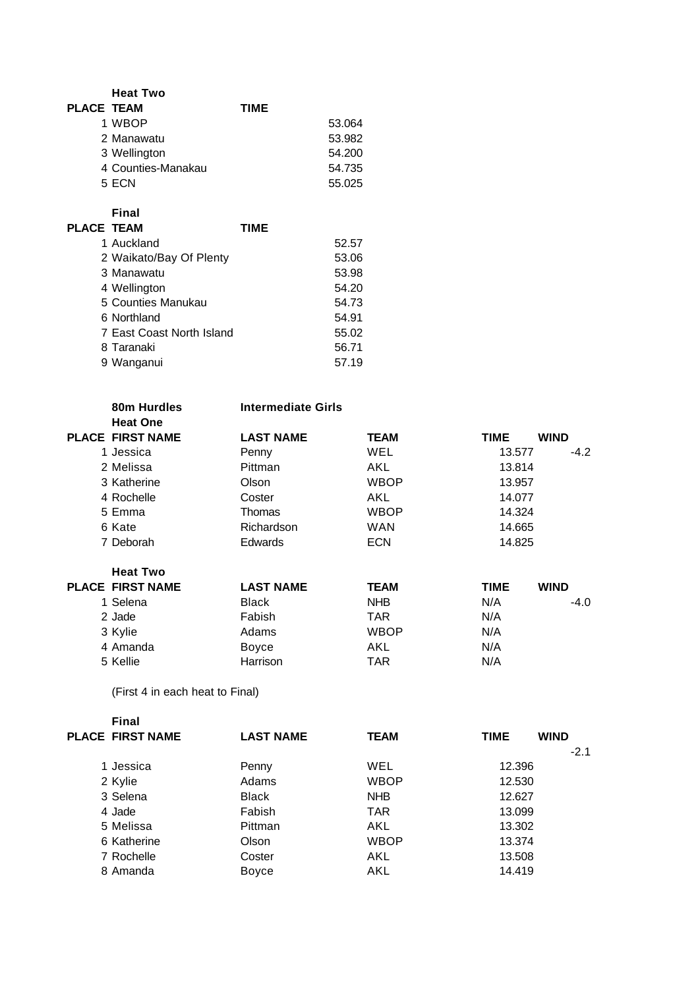|                   | <b>Heat Two</b>    |             |        |
|-------------------|--------------------|-------------|--------|
| <b>PLACE TEAM</b> |                    | <b>TIME</b> |        |
|                   | 1 WBOP             |             | 53.064 |
|                   | 2 Manawatu         |             | 53.982 |
|                   | 3 Wellington       |             | 54.200 |
|                   | 4 Counties-Manakau |             | 54.735 |
|                   | 5 ECN              |             | 55.025 |

**Final**

| <b>PLACE TEAM</b> |                           | TIME |       |
|-------------------|---------------------------|------|-------|
|                   | 1 Auckland                |      | 52.57 |
|                   | 2 Waikato/Bay Of Plenty   |      | 53.06 |
|                   | 3 Manawatu                |      | 53.98 |
|                   | 4 Wellington              |      | 54.20 |
|                   | 5 Counties Manukau        |      | 54.73 |
|                   | 6 Northland               |      | 54.91 |
|                   | 7 East Coast North Island |      | 55.02 |
|                   | 8 Taranaki                |      | 56.71 |
|                   | 9 Wanganui                |      | 57.19 |
|                   |                           |      |       |

| 80m Hurdles<br><b>Heat One</b> | <b>Intermediate Girls</b> |             |             |             |
|--------------------------------|---------------------------|-------------|-------------|-------------|
| <b>PLACE FIRST NAME</b>        | <b>LAST NAME</b>          | TEAM        | <b>TIME</b> | <b>WIND</b> |
| 1 Jessica                      | Penny                     | WEL         | 13.577      | $-4.2$      |
| 2 Melissa                      | Pittman                   | AKL         | 13.814      |             |
| 3 Katherine                    | Olson                     | WBOP        | 13.957      |             |
| 4 Rochelle                     | Coster                    | AKL         | 14.077      |             |
| 5 Emma                         | Thomas                    | WBOP        | 14.324      |             |
| 6 Kate                         | Richardson                | WAN         | 14.665      |             |
| 7 Deborah                      | <b>Edwards</b>            | <b>ECN</b>  | 14.825      |             |
| <b>Heat Two</b>                |                           |             |             |             |
| <b>PLACE FIRST NAME</b>        | <b>LAST NAME</b>          | <b>TEAM</b> | <b>TIME</b> | <b>WIND</b> |
| 1 Selena                       | <b>Black</b>              | NHB.        | N/A         | -4.0        |
| 2 Jade                         | Fabish                    | TAR         | N/A         |             |
| 3 Kylie                        | Adams                     | WBOP        | N/A         |             |
| 4 Amanda                       | Boyce                     | AKL         | N/A         |             |
| 5 Kellie                       | Harrison                  | TAR         | N/A         |             |

(First 4 in each heat to Final)

| Final                   |                  |             |             |             |
|-------------------------|------------------|-------------|-------------|-------------|
| <b>PLACE FIRST NAME</b> | <b>LAST NAME</b> | <b>TEAM</b> | <b>TIME</b> | <b>WIND</b> |
|                         |                  |             |             | $-2.1$      |
| 1 Jessica               | Penny            | WEL         | 12.396      |             |
| 2 Kylie                 | Adams            | <b>WBOP</b> | 12.530      |             |
| 3 Selena                | <b>Black</b>     | <b>NHB</b>  | 12.627      |             |
| 4 Jade                  | Fabish           | <b>TAR</b>  | 13.099      |             |
| 5 Melissa               | Pittman          | AKL         | 13.302      |             |
| 6 Katherine             | Olson            | <b>WBOP</b> | 13.374      |             |
| 7 Rochelle              | Coster           | AKL         | 13.508      |             |
| 8 Amanda                | Boyce            | AKL         | 14.419      |             |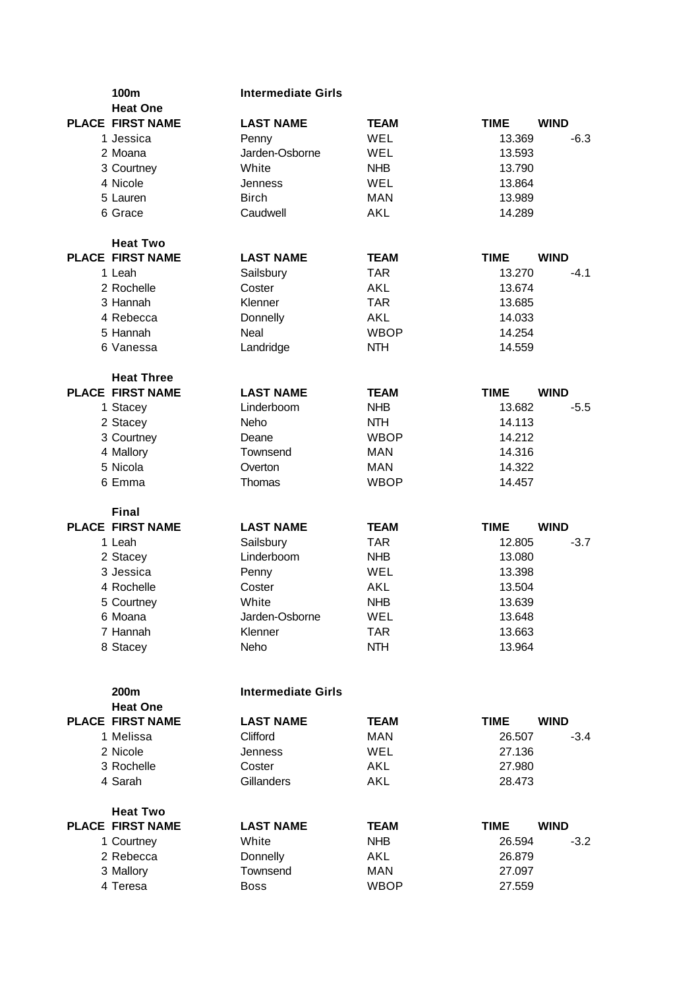| 100m<br><b>Heat One</b>                      | <b>Intermediate Girls</b> |                    |                  |             |
|----------------------------------------------|---------------------------|--------------------|------------------|-------------|
| <b>PLACE FIRST NAME</b>                      | <b>LAST NAME</b>          | <b>TEAM</b>        | <b>TIME</b>      | <b>WIND</b> |
| 1 Jessica                                    | Penny                     | <b>WEL</b>         | 13.369           | $-6.3$      |
| 2 Moana                                      | Jarden-Osborne            | WEL                | 13.593           |             |
| 3 Courtney                                   | White                     | <b>NHB</b>         | 13.790           |             |
| 4 Nicole                                     | Jenness                   | WEL                | 13.864           |             |
| 5 Lauren                                     | <b>Birch</b>              | <b>MAN</b>         | 13.989           |             |
| 6 Grace                                      | Caudwell                  | AKL                | 14.289           |             |
| <b>Heat Two</b>                              |                           |                    |                  |             |
| <b>PLACE FIRST NAME</b>                      | <b>LAST NAME</b>          | <b>TEAM</b>        | <b>TIME</b>      | <b>WIND</b> |
| 1 Leah                                       | Sailsbury                 | <b>TAR</b>         | 13.270           | $-4.1$      |
| 2 Rochelle                                   | Coster                    | AKL                | 13.674           |             |
| 3 Hannah                                     | Klenner                   | <b>TAR</b>         | 13.685           |             |
| 4 Rebecca<br>5 Hannah                        | Donnelly<br>Neal          | AKL<br><b>WBOP</b> | 14.033<br>14.254 |             |
| 6 Vanessa                                    | Landridge                 | <b>NTH</b>         | 14.559           |             |
|                                              |                           |                    |                  |             |
| <b>Heat Three</b><br><b>PLACE FIRST NAME</b> | <b>LAST NAME</b>          | <b>TEAM</b>        | <b>TIME</b>      | <b>WIND</b> |
| 1 Stacey                                     | Linderboom                | <b>NHB</b>         | 13.682           | $-5.5$      |
| 2 Stacey                                     | Neho                      | <b>NTH</b>         | 14.113           |             |
| 3 Courtney                                   | Deane                     | <b>WBOP</b>        | 14.212           |             |
| 4 Mallory                                    | Townsend                  | <b>MAN</b>         | 14.316           |             |
| 5 Nicola                                     | Overton                   | <b>MAN</b>         | 14.322           |             |
| 6 Emma                                       | Thomas                    | <b>WBOP</b>        | 14.457           |             |
| <b>Final</b>                                 |                           |                    |                  |             |
| <b>PLACE FIRST NAME</b>                      | <b>LAST NAME</b>          | <b>TEAM</b>        | <b>TIME</b>      | <b>WIND</b> |
| 1 Leah                                       | Sailsbury                 | <b>TAR</b>         | 12.805           | $-3.7$      |
| 2 Stacey                                     | Linderboom                | <b>NHB</b>         | 13.080           |             |
| 3 Jessica                                    | Penny                     | WEL                | 13.398           |             |
| 4 Rochelle                                   | Coster                    | AKL                | 13.504           |             |
| 5 Courtney                                   | White                     | <b>NHB</b>         | 13.639           |             |
| 6 Moana                                      | Jarden-Osborne            | WEL                | 13.648           |             |
| 7 Hannah                                     | Klenner                   | <b>TAR</b>         | 13.663           |             |
| 8 Stacey                                     | Neho                      | <b>NTH</b>         | 13.964           |             |
| 200m                                         | <b>Intermediate Girls</b> |                    |                  |             |
| <b>Heat One</b>                              |                           |                    |                  |             |
| <b>PLACE FIRST NAME</b>                      | <b>LAST NAME</b>          | <b>TEAM</b>        | <b>TIME</b>      | <b>WIND</b> |
| 1 Melissa                                    | Clifford                  | <b>MAN</b>         | 26.507           | $-3.4$      |
| 2 Nicole                                     | Jenness                   | WEL                | 27.136           |             |
| 3 Rochelle                                   | Coster                    | <b>AKL</b>         | 27.980           |             |
| 4 Sarah                                      | Gillanders                | <b>AKL</b>         | 28.473           |             |
| <b>Heat Two</b>                              |                           |                    |                  |             |
| <b>PLACE FIRST NAME</b>                      | <b>LAST NAME</b>          | <b>TEAM</b>        | <b>TIME</b>      | <b>WIND</b> |
| 1 Courtney                                   | White                     | <b>NHB</b>         | 26.594           | $-3.2$      |
| 2 Rebecca                                    | Donnelly                  | <b>AKL</b>         | 26.879           |             |
| 3 Mallory                                    | Townsend                  | <b>MAN</b>         | 27.097           |             |
| 4 Teresa                                     | <b>Boss</b>               | <b>WBOP</b>        | 27.559           |             |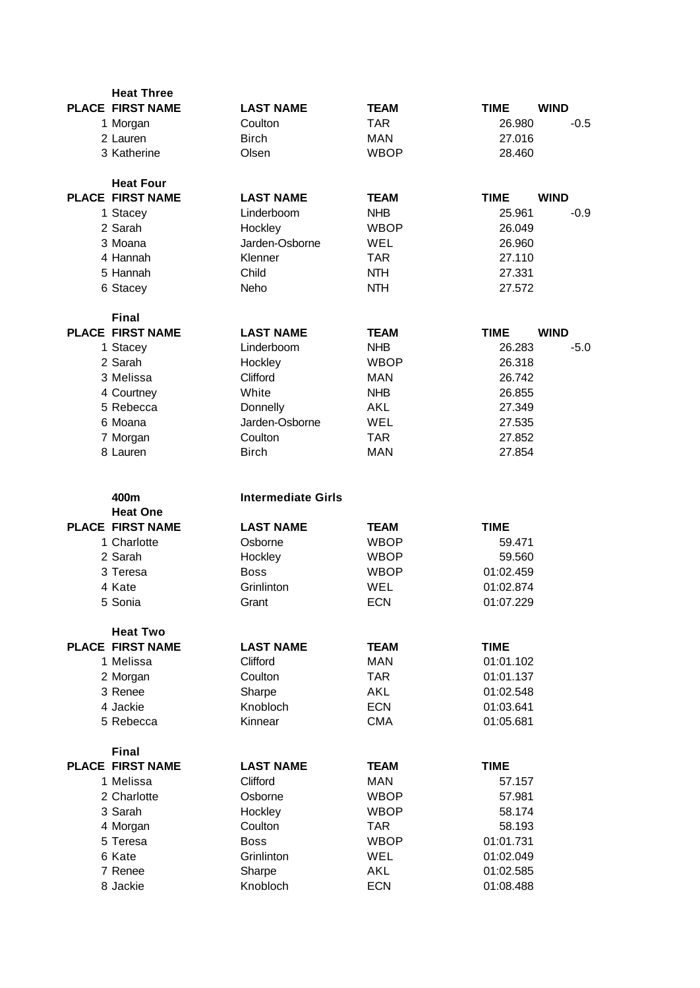| <b>Heat Three</b>       |                           |             |                            |
|-------------------------|---------------------------|-------------|----------------------------|
| <b>PLACE FIRST NAME</b> | <b>LAST NAME</b>          | <b>TEAM</b> | <b>TIME</b><br><b>WIND</b> |
| 1 Morgan                | Coulton                   | <b>TAR</b>  | 26.980<br>$-0.5$           |
| 2 Lauren                | <b>Birch</b>              | <b>MAN</b>  | 27.016                     |
| 3 Katherine             | Olsen                     | <b>WBOP</b> | 28.460                     |
|                         |                           |             |                            |
| <b>Heat Four</b>        |                           |             |                            |
| <b>PLACE FIRST NAME</b> | <b>LAST NAME</b>          | <b>TEAM</b> | <b>TIME</b><br><b>WIND</b> |
| 1 Stacey                | Linderboom                | <b>NHB</b>  | 25.961<br>$-0.9$           |
| 2 Sarah                 | Hockley                   | <b>WBOP</b> | 26.049                     |
| 3 Moana                 | Jarden-Osborne            | WEL         | 26.960                     |
| 4 Hannah                | Klenner                   | <b>TAR</b>  | 27.110                     |
| 5 Hannah                | Child                     | <b>NTH</b>  | 27.331                     |
| 6 Stacey                | Neho                      | <b>NTH</b>  | 27.572                     |
| <b>Final</b>            |                           |             |                            |
| <b>PLACE FIRST NAME</b> | <b>LAST NAME</b>          | <b>TEAM</b> | <b>WIND</b><br><b>TIME</b> |
| 1 Stacey                | Linderboom                | <b>NHB</b>  | 26.283<br>$-5.0$           |
| 2 Sarah                 | Hockley                   | <b>WBOP</b> | 26.318                     |
| 3 Melissa               | Clifford                  | <b>MAN</b>  | 26.742                     |
| 4 Courtney              | White                     | <b>NHB</b>  | 26.855                     |
| 5 Rebecca               | Donnelly                  | AKL         | 27.349                     |
| 6 Moana                 | Jarden-Osborne            | WEL         | 27.535                     |
|                         | Coulton                   | <b>TAR</b>  | 27.852                     |
| 7 Morgan<br>8 Lauren    | <b>Birch</b>              | <b>MAN</b>  | 27.854                     |
|                         |                           |             |                            |
|                         |                           |             |                            |
|                         |                           |             |                            |
| 400m                    | <b>Intermediate Girls</b> |             |                            |
| <b>Heat One</b>         |                           |             |                            |
| <b>PLACE FIRST NAME</b> | <b>LAST NAME</b>          | <b>TEAM</b> | <b>TIME</b>                |
| 1 Charlotte             | Osborne                   | <b>WBOP</b> | 59.471                     |
| 2 Sarah                 | Hockley                   | <b>WBOP</b> | 59.560                     |
| 3 Teresa                | <b>Boss</b>               | <b>WBOP</b> | 01:02.459                  |
| 4 Kate                  | Grinlinton                | WEL         | 01:02.874                  |
| 5 Sonia                 | Grant                     | <b>ECN</b>  | 01:07.229                  |
| <b>Heat Two</b>         |                           |             |                            |
| <b>PLACE FIRST NAME</b> | <b>LAST NAME</b>          | <b>TEAM</b> | <b>TIME</b>                |
| 1 Melissa               | Clifford                  | <b>MAN</b>  | 01:01.102                  |
| 2 Morgan                | Coulton                   | <b>TAR</b>  | 01:01.137                  |
| 3 Renee                 | Sharpe                    | <b>AKL</b>  | 01:02.548                  |
| 4 Jackie                | Knobloch                  | <b>ECN</b>  | 01:03.641                  |
| 5 Rebecca               | Kinnear                   | <b>CMA</b>  | 01:05.681                  |
| <b>Final</b>            |                           |             |                            |
| <b>PLACE FIRST NAME</b> | <b>LAST NAME</b>          | <b>TEAM</b> | <b>TIME</b>                |
| 1 Melissa               | Clifford                  | <b>MAN</b>  | 57.157                     |
| 2 Charlotte             | Osborne                   | <b>WBOP</b> | 57.981                     |
| 3 Sarah                 | Hockley                   | <b>WBOP</b> | 58.174                     |
| 4 Morgan                | Coulton                   | <b>TAR</b>  | 58.193                     |
| 5 Teresa                | <b>Boss</b>               | <b>WBOP</b> | 01:01.731                  |
| 6 Kate                  | Grinlinton                | WEL         | 01:02.049                  |
| 7 Renee<br>8 Jackie     | Sharpe                    | <b>AKL</b>  | 01:02.585                  |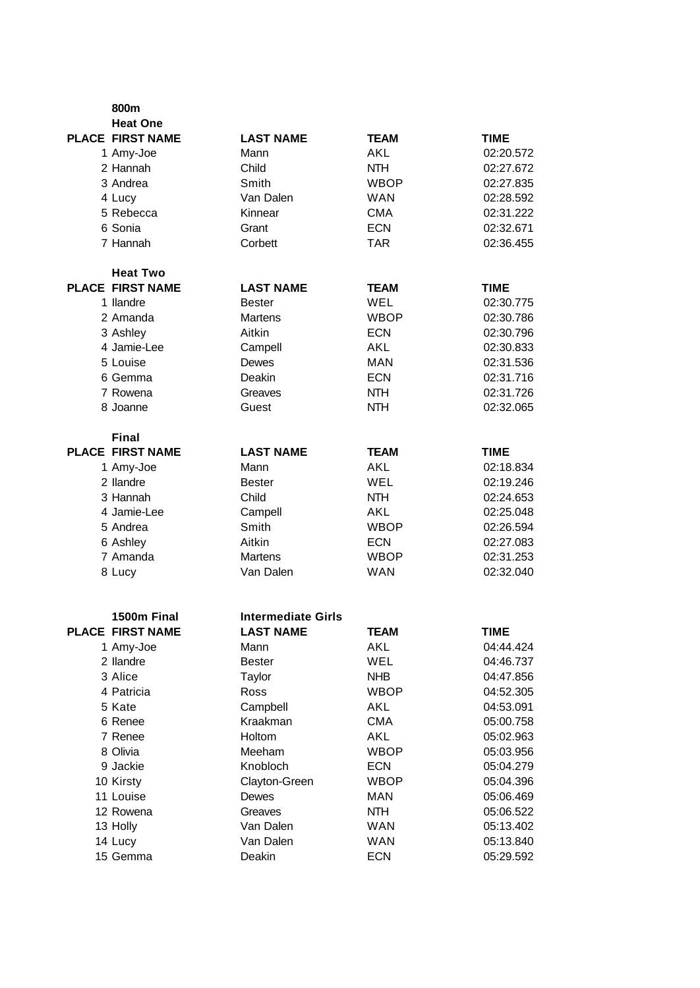| 800m                    |                           |             |             |
|-------------------------|---------------------------|-------------|-------------|
| <b>Heat One</b>         |                           |             |             |
| <b>PLACE FIRST NAME</b> | <b>LAST NAME</b>          | <b>TEAM</b> | <b>TIME</b> |
| 1 Amy-Joe               | Mann                      | AKL         | 02:20.572   |
| 2 Hannah                | Child                     | <b>NTH</b>  | 02:27.672   |
| 3 Andrea                | Smith                     | <b>WBOP</b> | 02:27.835   |
| 4 Lucy                  | Van Dalen                 | <b>WAN</b>  | 02:28.592   |
| 5 Rebecca               | Kinnear                   | <b>CMA</b>  | 02:31.222   |
| 6 Sonia                 | Grant                     | <b>ECN</b>  | 02:32.671   |
| 7 Hannah                | Corbett                   | <b>TAR</b>  | 02:36.455   |
| <b>Heat Two</b>         |                           |             |             |
| <b>PLACE FIRST NAME</b> | <b>LAST NAME</b>          | <b>TEAM</b> | <b>TIME</b> |
| 1 llandre               | <b>Bester</b>             | WEL         | 02:30.775   |
| 2 Amanda                | <b>Martens</b>            | <b>WBOP</b> | 02:30.786   |
| 3 Ashley                | Aitkin                    | <b>ECN</b>  | 02:30.796   |
| 4 Jamie-Lee             | Campell                   | AKL         | 02:30.833   |
| 5 Louise                | Dewes                     | <b>MAN</b>  | 02:31.536   |
| 6 Gemma                 | Deakin                    | <b>ECN</b>  | 02:31.716   |
| 7 Rowena                | Greaves                   | <b>NTH</b>  | 02:31.726   |
| 8 Joanne                | Guest                     | <b>NTH</b>  | 02:32.065   |
| <b>Final</b>            |                           |             |             |
| <b>PLACE FIRST NAME</b> | <b>LAST NAME</b>          | <b>TEAM</b> | <b>TIME</b> |
| 1 Amy-Joe               | Mann                      | <b>AKL</b>  | 02:18.834   |
| 2 llandre               | <b>Bester</b>             | <b>WEL</b>  | 02:19.246   |
| 3 Hannah                | Child                     | <b>NTH</b>  | 02:24.653   |
| 4 Jamie-Lee             | Campell                   | AKL         | 02:25.048   |
| 5 Andrea                | Smith                     | <b>WBOP</b> | 02:26.594   |
| 6 Ashley                | Aitkin                    | <b>ECN</b>  | 02:27.083   |
| 7 Amanda                | Martens                   | <b>WBOP</b> | 02:31.253   |
| 8 Lucy                  | Van Dalen                 | <b>WAN</b>  | 02:32.040   |
|                         |                           |             |             |
| 1500m Final             | <b>Intermediate Girls</b> |             |             |
| PLACE FIRST NAME        | <b>LAST NAME</b>          | <b>TEAM</b> | <b>TIME</b> |
| 1 Amy-Joe               | Mann                      | <b>AKL</b>  | 04:44.424   |
| 2 llandre               | <b>Bester</b>             | WEL         | 04:46.737   |
| 3 Alice                 | Taylor                    | <b>NHB</b>  | 04:47.856   |
| 4 Patricia              | Ross                      | <b>WBOP</b> | 04:52.305   |
| 5 Kate                  | Campbell                  | <b>AKL</b>  | 04:53.091   |
| 6 Renee                 | Kraakman                  | <b>CMA</b>  | 05:00.758   |
| 7 Renee                 | Holtom                    | <b>AKL</b>  | 05:02.963   |
| 8 Olivia                | Meeham                    | <b>WBOP</b> | 05:03.956   |
| 9 Jackie                | Knobloch                  | <b>ECN</b>  | 05:04.279   |
| 10 Kirsty               | Clayton-Green             | <b>WBOP</b> | 05:04.396   |
| 11 Louise               | Dewes                     | <b>MAN</b>  | 05:06.469   |
| 12 Rowena               | Greaves                   | <b>NTH</b>  | 05:06.522   |
| 13 Holly                | Van Dalen                 | <b>WAN</b>  | 05:13.402   |
| 14 Lucy                 | Van Dalen                 | <b>WAN</b>  | 05:13.840   |
| 15 Gemma                | Deakin                    | <b>ECN</b>  | 05:29.592   |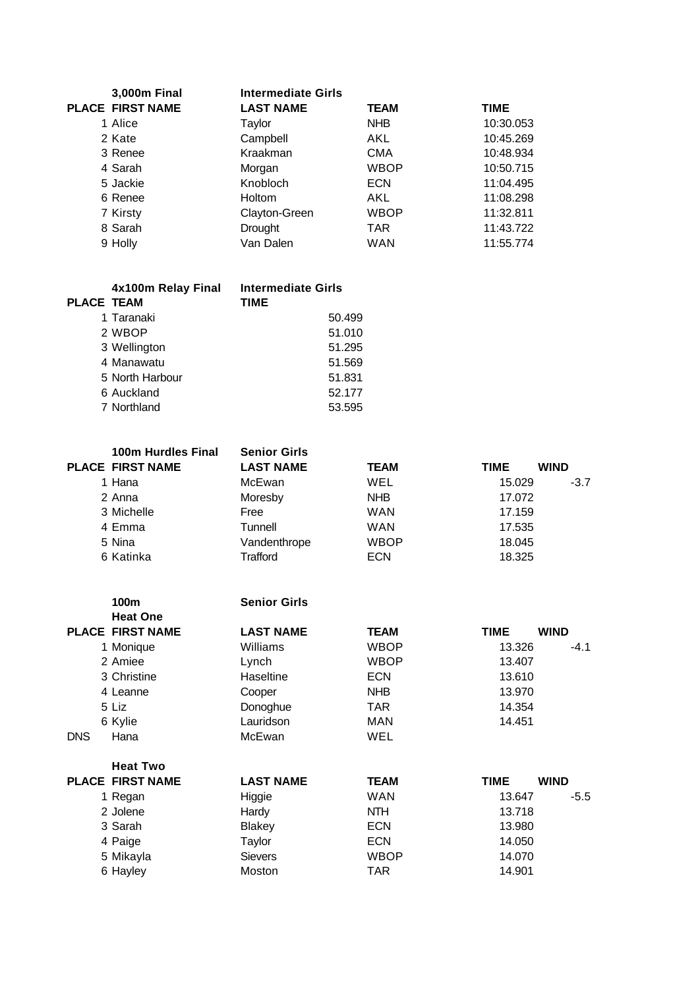| 3,000m Final            | <b>Intermediate Girls</b> |             |             |
|-------------------------|---------------------------|-------------|-------------|
| <b>PLACE FIRST NAME</b> | <b>LAST NAME</b>          | <b>TEAM</b> | <b>TIME</b> |
| 1 Alice                 | Taylor                    | <b>NHB</b>  | 10:30.053   |
| 2 Kate                  | Campbell                  | <b>AKL</b>  | 10:45.269   |
| 3 Renee                 | Kraakman                  | <b>CMA</b>  | 10:48.934   |
| 4 Sarah                 | Morgan                    | <b>WBOP</b> | 10:50.715   |
| 5 Jackie                | Knobloch                  | <b>ECN</b>  | 11:04.495   |
| 6 Renee                 | <b>Holtom</b>             | <b>AKL</b>  | 11:08.298   |
| 7 Kirsty                | Clayton-Green             | <b>WBOP</b> | 11:32.811   |
| 8 Sarah                 | Drought                   | <b>TAR</b>  | 11:43.722   |
| 9 Holly                 | Van Dalen                 | <b>WAN</b>  | 11:55.774   |

|                   | 4x100m Relay Final | <b>Intermediate Girls</b> |
|-------------------|--------------------|---------------------------|
| <b>PLACE TEAM</b> |                    | <b>TIME</b>               |
|                   | 1 Taranaki         | 50.499                    |
|                   | 2 WBOP             | 51.010                    |
|                   | 3 Wellington       | 51.295                    |
|                   | 4 Manawatu         | 51.569                    |
|                   | 5 North Harbour    | 51.831                    |
|                   | 6 Auckland         | 52.177                    |
|                   | 7 Northland        | 53.595                    |
|                   |                    |                           |

| <b>100m Hurdles Final</b><br><b>PLACE FIRST NAME</b> | <b>Senior Girls</b><br><b>LAST NAME</b> | <b>TEAM</b> | <b>TIME</b> | <b>WIND</b> |
|------------------------------------------------------|-----------------------------------------|-------------|-------------|-------------|
| 1 Hana                                               | McEwan                                  | WEL         | 15.029      | $-3.7$      |
| 2 Anna                                               | Moresby                                 | <b>NHB</b>  | 17.072      |             |
| 3 Michelle                                           | Free                                    | <b>WAN</b>  | 17.159      |             |
| 4 Emma                                               | Tunnell                                 | WAN         | 17.535      |             |
| 5 Nina                                               | Vandenthrope                            | <b>WBOP</b> | 18.045      |             |
| 6 Katinka                                            | Trafford                                | <b>ECN</b>  | 18.325      |             |

|            | 100m                    | <b>Senior Girls</b> |             |        |             |
|------------|-------------------------|---------------------|-------------|--------|-------------|
|            | <b>Heat One</b>         |                     |             |        |             |
|            | <b>PLACE FIRST NAME</b> | <b>LAST NAME</b>    | <b>TEAM</b> | TIME   | <b>WIND</b> |
|            | 1 Monique               | Williams            | <b>WBOP</b> | 13.326 | -4.1        |
|            | 2 Amiee                 | Lynch               | <b>WBOP</b> | 13.407 |             |
|            | 3 Christine             | Haseltine           | <b>ECN</b>  | 13.610 |             |
|            | 4 Leanne                | Cooper              | <b>NHB</b>  | 13.970 |             |
|            | 5 Liz                   | Donoghue            | TAR.        | 14.354 |             |
|            | 6 Kylie                 | Lauridson           | MAN         | 14.451 |             |
| <b>DNS</b> | Hana                    | McEwan              | WEL         |        |             |
|            | <b>Heat Two</b>         |                     |             |        |             |
|            | <b>PLACE FIRST NAME</b> | <b>LAST NAME</b>    | TEAM        | TIME   | <b>WIND</b> |
|            | 1 Regan                 | Higgie              | WAN         | 13.647 | $-5.5$      |
|            | 2 Jolene                | Hardy               | <b>NTH</b>  | 13.718 |             |
|            | 3 Sarah                 | Blakey              | <b>ECN</b>  | 13.980 |             |
|            | 4 Paige                 | Taylor              | <b>ECN</b>  | 14.050 |             |
|            | 5 Mikayla               | Sievers             | WBOP        | 14.070 |             |
|            | 6 Hayley                | Moston              | TAR         | 14.901 |             |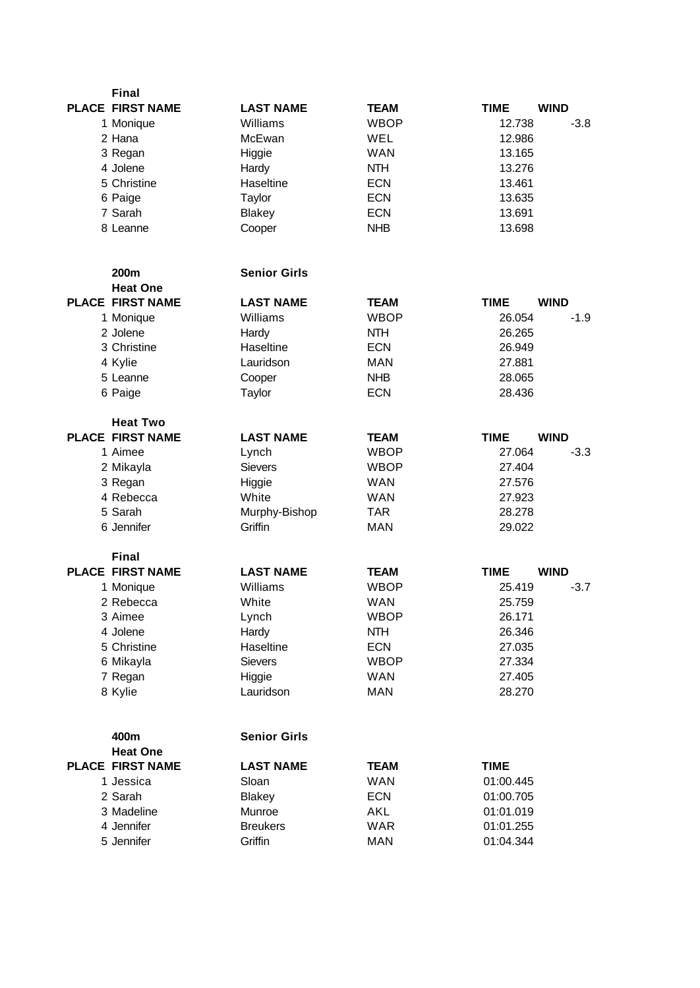| <b>Final</b>                            |                     |                           |                       |             |
|-----------------------------------------|---------------------|---------------------------|-----------------------|-------------|
| <b>PLACE FIRST NAME</b>                 | <b>LAST NAME</b>    | <b>TEAM</b>               | <b>TIME</b>           | <b>WIND</b> |
| 1 Monique                               | Williams            | <b>WBOP</b>               | 12.738                | $-3.8$      |
| 2 Hana                                  | McEwan              | WEL                       | 12.986                |             |
| 3 Regan                                 | Higgie              | <b>WAN</b>                | 13.165                |             |
| 4 Jolene                                | Hardy               | <b>NTH</b>                | 13.276                |             |
| 5 Christine                             | Haseltine           | <b>ECN</b>                | 13.461                |             |
| 6 Paige                                 | Taylor              | <b>ECN</b>                | 13.635                |             |
| 7 Sarah                                 | Blakey              | <b>ECN</b>                | 13.691                |             |
| 8 Leanne                                | Cooper              | <b>NHB</b>                | 13.698                |             |
| 200m                                    | <b>Senior Girls</b> |                           |                       |             |
| <b>Heat One</b>                         |                     |                           |                       |             |
| <b>PLACE FIRST NAME</b>                 | <b>LAST NAME</b>    | <b>TEAM</b>               | <b>TIME</b>           | <b>WIND</b> |
| 1 Monique                               | Williams            | <b>WBOP</b>               | 26.054                | $-1.9$      |
| 2 Jolene                                | Hardy               | <b>NTH</b>                | 26.265                |             |
| 3 Christine                             | Haseltine           | <b>ECN</b>                | 26.949                |             |
| 4 Kylie                                 | Lauridson           | <b>MAN</b>                | 27.881                |             |
| 5 Leanne                                | Cooper              | <b>NHB</b>                | 28.065                |             |
| 6 Paige                                 | Taylor              | <b>ECN</b>                | 28.436                |             |
| <b>Heat Two</b>                         |                     |                           |                       |             |
| <b>PLACE FIRST NAME</b>                 | <b>LAST NAME</b>    | <b>TEAM</b>               | <b>TIME</b>           | <b>WIND</b> |
| 1 Aimee                                 | Lynch               | <b>WBOP</b>               | 27.064                | $-3.3$      |
| 2 Mikayla                               | <b>Sievers</b>      | <b>WBOP</b>               | 27.404                |             |
| 3 Regan                                 | Higgie              | <b>WAN</b>                | 27.576                |             |
| 4 Rebecca                               | White               | <b>WAN</b>                | 27.923                |             |
| 5 Sarah                                 | Murphy-Bishop       | <b>TAR</b>                | 28.278                |             |
| 6 Jennifer                              | Griffin             | <b>MAN</b>                | 29.022                |             |
| <b>Final</b><br><b>PLACE FIRST NAME</b> | <b>LAST NAME</b>    |                           |                       | <b>WIND</b> |
|                                         | Williams            | <b>TEAM</b>               | <b>TIME</b><br>25.419 |             |
| 1 Monique                               |                     | <b>WBOP</b><br><b>WAN</b> |                       | $-3.7$      |
| 2 Rebecca                               | White               |                           | 25.759                |             |
| 3 Aimee                                 | Lynch               | WBOP                      | 26.171                |             |
| 4 Jolene                                | Hardy               | <b>NTH</b>                | 26.346                |             |
| 5 Christine                             | Haseltine           | <b>ECN</b>                | 27.035                |             |
| 6 Mikayla                               | <b>Sievers</b>      | <b>WBOP</b>               | 27.334                |             |
| 7 Regan                                 | Higgie              | <b>WAN</b>                | 27.405                |             |
| 8 Kylie                                 | Lauridson           | <b>MAN</b>                | 28.270                |             |
| 400m                                    | <b>Senior Girls</b> |                           |                       |             |
| <b>Heat One</b>                         |                     |                           |                       |             |
| <b>PLACE FIRST NAME</b>                 | <b>LAST NAME</b>    | <b>TEAM</b>               | <b>TIME</b>           |             |
| 1 Jessica                               | Sloan               | <b>WAN</b>                | 01:00.445             |             |
| 2 Sarah                                 | <b>Blakey</b>       | <b>ECN</b>                | 01:00.705             |             |
| 3 Madeline                              | Munroe              | AKL                       | 01:01.019             |             |
| 4 Jennifer                              | <b>Breukers</b>     | <b>WAR</b>                | 01:01.255             |             |
| 5 Jennifer                              | Griffin             | <b>MAN</b>                | 01:04.344             |             |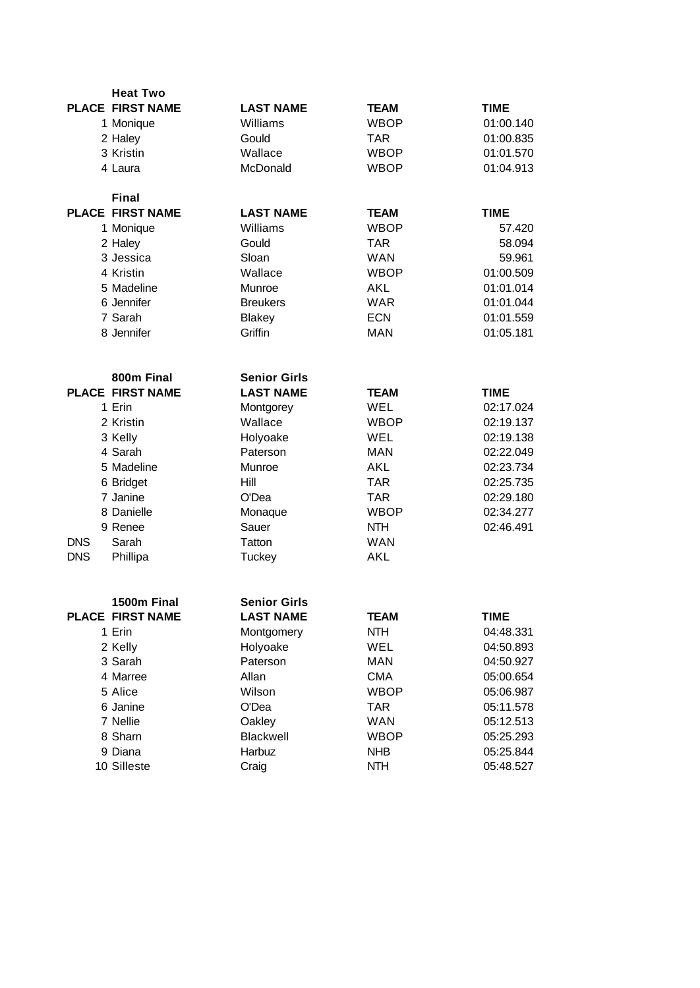|            | <b>Heat Two</b>         |                     |             |             |
|------------|-------------------------|---------------------|-------------|-------------|
|            | <b>PLACE FIRST NAME</b> | <b>LAST NAME</b>    | <b>TEAM</b> | <b>TIME</b> |
|            | 1 Monique               | Williams            | <b>WBOP</b> | 01:00.140   |
|            | 2 Haley                 | Gould               | <b>TAR</b>  | 01:00.835   |
|            | 3 Kristin               | Wallace             | <b>WBOP</b> | 01:01.570   |
|            | 4 Laura                 | McDonald            | <b>WBOP</b> | 01:04.913   |
|            |                         |                     |             |             |
|            | <b>Final</b>            |                     |             |             |
|            | <b>PLACE FIRST NAME</b> | <b>LAST NAME</b>    | <b>TEAM</b> | <b>TIME</b> |
|            | 1 Monique               | Williams            | <b>WBOP</b> | 57.420      |
|            | 2 Haley                 | Gould               | <b>TAR</b>  | 58.094      |
|            | 3 Jessica               | Sloan               | <b>WAN</b>  | 59.961      |
|            | 4 Kristin               | Wallace             | <b>WBOP</b> | 01:00.509   |
|            | 5 Madeline              | Munroe              | AKL         | 01:01.014   |
|            | 6 Jennifer              | <b>Breukers</b>     | <b>WAR</b>  | 01:01.044   |
|            | 7 Sarah                 | <b>Blakey</b>       | <b>ECN</b>  | 01:01.559   |
|            | 8 Jennifer              | Griffin             | <b>MAN</b>  | 01:05.181   |
|            |                         |                     |             |             |
|            |                         |                     |             |             |
|            | 800m Final              | <b>Senior Girls</b> |             |             |
|            | <b>PLACE FIRST NAME</b> | <b>LAST NAME</b>    | <b>TEAM</b> | <b>TIME</b> |
|            | 1 Erin                  | Montgorey           | WEL         | 02:17.024   |
|            | 2 Kristin               | Wallace             | <b>WBOP</b> | 02:19.137   |
|            | 3 Kelly                 | Holyoake            | WEL         | 02:19.138   |
|            | 4 Sarah                 | Paterson            | <b>MAN</b>  | 02:22.049   |
|            | 5 Madeline              | Munroe              | AKL         | 02:23.734   |
|            | 6 Bridget               | Hill                | <b>TAR</b>  | 02:25.735   |
|            | 7 Janine                | O'Dea               | <b>TAR</b>  | 02:29.180   |
|            | 8 Danielle              | Monaque             | <b>WBOP</b> | 02:34.277   |
|            | 9 Renee                 | Sauer               | <b>NTH</b>  | 02:46.491   |
| <b>DNS</b> | Sarah                   | Tatton              | <b>WAN</b>  |             |
| <b>DNS</b> | Phillipa                | Tuckey              | AKL         |             |
|            |                         |                     |             |             |
|            | 1500m Final             | <b>Senior Girls</b> |             |             |
|            | PLACE FIRST NAME        | <b>LAST NAME</b>    | <b>TEAM</b> | TIME        |
|            | 1 Erin                  | Montgomery          | <b>NTH</b>  | 04:48.331   |
|            | 2 Kelly                 | Holyoake            | WEL         | 04:50.893   |
|            | 3 Sarah                 | Paterson            | <b>MAN</b>  | 04:50.927   |
|            | 4 Marree                | Allan               | <b>CMA</b>  | 05:00.654   |
|            | 5 Alice                 | Wilson              | <b>WBOP</b> | 05:06.987   |
|            | 6 Janine                | O'Dea               | <b>TAR</b>  | 05:11.578   |
|            | 7 Nellie                | Oakley              | <b>WAN</b>  | 05:12.513   |
|            | 8 Sharn                 | Blackwell           | <b>WBOP</b> | 05:25.293   |
|            | 9 Diana                 | Harbuz              | <b>NHB</b>  | 05:25.844   |
|            | 10 Silleste             | Craig               | <b>NTH</b>  | 05:48.527   |
|            |                         |                     |             |             |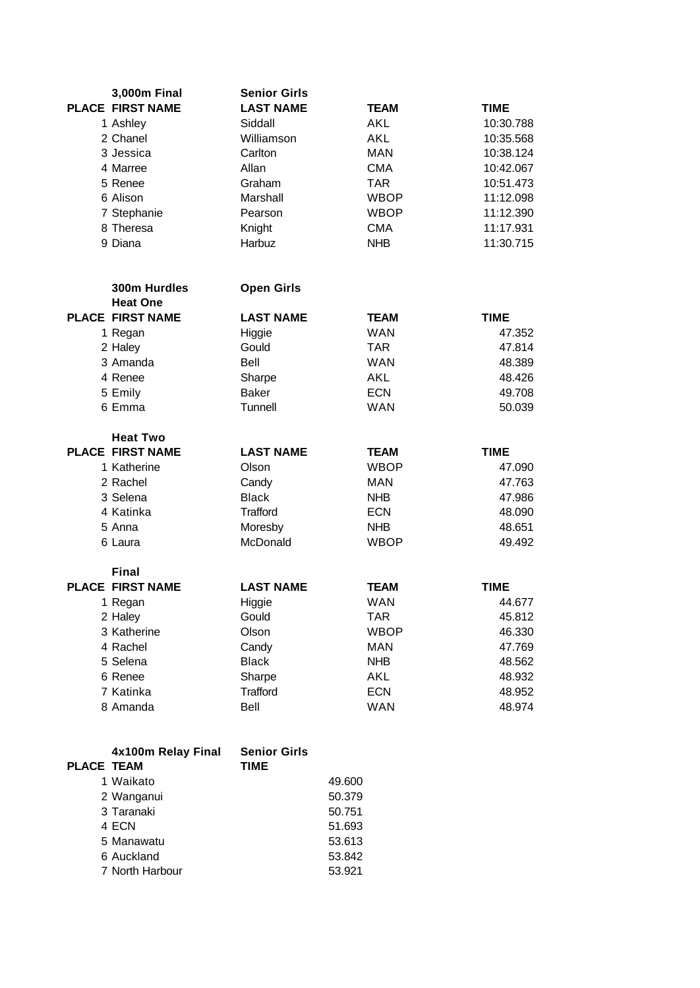| 3,000m Final            | <b>Senior Girls</b> |             |             |
|-------------------------|---------------------|-------------|-------------|
| <b>PLACE FIRST NAME</b> | <b>LAST NAME</b>    | <b>TEAM</b> | <b>TIME</b> |
| 1 Ashley                | Siddall             | AKL         | 10:30.788   |
| 2 Chanel                | Williamson          | AKL         | 10:35.568   |
| 3 Jessica               | Carlton             | <b>MAN</b>  | 10:38.124   |
| 4 Marree                | Allan               | <b>CMA</b>  | 10:42.067   |
| 5 Renee                 | Graham              | <b>TAR</b>  | 10:51.473   |
| 6 Alison                | Marshall            | <b>WBOP</b> | 11:12.098   |
| 7 Stephanie             | Pearson             | <b>WBOP</b> | 11:12.390   |
| 8 Theresa               | Knight              | <b>CMA</b>  | 11:17.931   |
| 9 Diana                 | Harbuz              | <b>NHB</b>  | 11:30.715   |
|                         |                     |             |             |
| 300m Hurdles            | <b>Open Girls</b>   |             |             |
| <b>Heat One</b>         |                     |             |             |
| <b>PLACE FIRST NAME</b> | <b>LAST NAME</b>    | <b>TEAM</b> | <b>TIME</b> |
| 1 Regan                 | Higgie              | <b>WAN</b>  | 47.352      |
| 2 Haley                 | Gould               | <b>TAR</b>  | 47.814      |
| 3 Amanda                | Bell                | <b>WAN</b>  | 48.389      |
| 4 Renee                 | Sharpe              | AKL         | 48.426      |
| 5 Emily                 | <b>Baker</b>        | <b>ECN</b>  | 49.708      |
| 6 Emma                  | Tunnell             | <b>WAN</b>  | 50.039      |
|                         |                     |             |             |
| <b>Heat Two</b>         |                     |             |             |
| <b>PLACE FIRST NAME</b> | <b>LAST NAME</b>    | <b>TEAM</b> | <b>TIME</b> |
| 1 Katherine             | Olson               | <b>WBOP</b> | 47.090      |
| 2 Rachel                | Candy               | <b>MAN</b>  | 47.763      |
| 3 Selena                | <b>Black</b>        | <b>NHB</b>  | 47.986      |
| 4 Katinka               | Trafford            | <b>ECN</b>  | 48.090      |
| 5 Anna                  | Moresby             | <b>NHB</b>  | 48.651      |
| 6 Laura                 | McDonald            | <b>WBOP</b> | 49.492      |
|                         |                     |             |             |
| <b>Final</b>            |                     |             |             |
| <b>PLACE FIRST NAME</b> | <b>LAST NAME</b>    | <b>TEAM</b> | <b>TIME</b> |
| 1 Regan                 | Higgie              | <b>WAN</b>  | 44.677      |
| 2 Haley                 | Gould               | TAR         | 45.812      |
| 3 Katherine             | Olson               | <b>WBOP</b> | 46.330      |
| 4 Rachel                | Candy               | <b>MAN</b>  | 47.769      |
| 5 Selena                | <b>Black</b>        | <b>NHB</b>  | 48.562      |
| 6 Renee                 | Sharpe              | AKL         | 48.932      |
| 7 Katinka               | Trafford            | <b>ECN</b>  | 48.952      |
| 8 Amanda                | Bell                | <b>WAN</b>  | 48.974      |
|                         |                     |             |             |
| 4x100m Relay Final      | <b>Senior Girls</b> |             |             |
| <b>PLACE TEAM</b>       | <b>TIME</b>         |             |             |
| 1 Waikato               |                     | 49.600      |             |
| 2 Wanganui              |                     | 50.379      |             |
|                         |                     |             |             |

| 2 Wanganur      | 50.379 |
|-----------------|--------|
| 3 Taranaki      | 50.751 |
| 4 ECN           | 51.693 |
| 5 Manawatu      | 53.613 |
| 6 Auckland      | 53.842 |
| 7 North Harbour | 53.921 |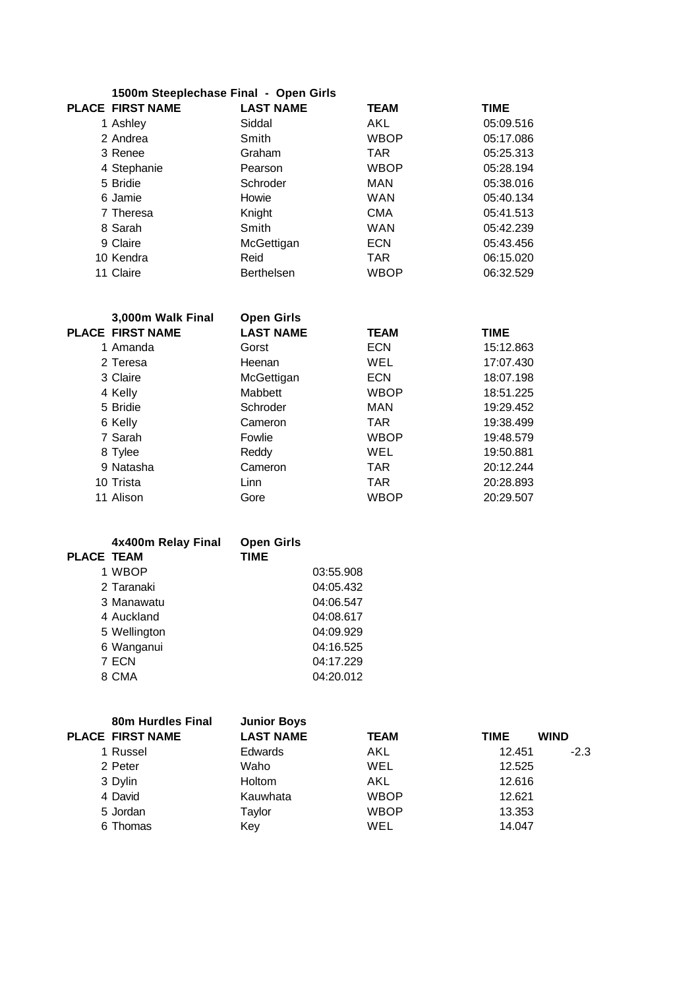|                          | 1500m Steeplechase Final - Open Girls |            |   |
|--------------------------|---------------------------------------|------------|---|
| <b>DI ACE FIRST NAME</b> |                                       | I AST NAME | ᅚ |

| PLACE FIRST NAME | <b>LAST NAME</b>  | <b>TEAM</b> | <b>TIME</b> |
|------------------|-------------------|-------------|-------------|
| 1 Ashley         | Siddal            | AKL         | 05:09.516   |
| 2 Andrea         | Smith             | <b>WBOP</b> | 05:17.086   |
| 3 Renee          | Graham            | <b>TAR</b>  | 05:25.313   |
| 4 Stephanie      | Pearson           | <b>WBOP</b> | 05:28.194   |
| 5 Bridie         | Schroder          | <b>MAN</b>  | 05:38.016   |
| 6 Jamie          | Howie             | <b>WAN</b>  | 05:40.134   |
| 7 Theresa        | Knight            | <b>CMA</b>  | 05:41.513   |
| 8 Sarah          | Smith             | <b>WAN</b>  | 05:42.239   |
| 9 Claire         | McGettigan        | <b>ECN</b>  | 05:43.456   |
| 10 Kendra        | Reid              | <b>TAR</b>  | 06:15.020   |
| 11 Claire        | <b>Berthelsen</b> | <b>WBOP</b> | 06:32.529   |

| 3,000m Walk Final       | <b>Open Girls</b> |             |             |
|-------------------------|-------------------|-------------|-------------|
| <b>PLACE FIRST NAME</b> | <b>LAST NAME</b>  | <b>TEAM</b> | <b>TIME</b> |
| 1 Amanda                | Gorst             | <b>ECN</b>  | 15:12.863   |
| 2 Teresa                | Heenan            | <b>WEL</b>  | 17:07.430   |
| 3 Claire                | McGettigan        | <b>ECN</b>  | 18:07.198   |
| 4 Kelly                 | Mabbett           | <b>WBOP</b> | 18:51.225   |
| 5 Bridie                | Schroder          | MAN         | 19:29.452   |
| 6 Kelly                 | Cameron           | <b>TAR</b>  | 19:38.499   |
| 7 Sarah                 | Fowlie            | <b>WBOP</b> | 19:48.579   |
| 8 Tylee                 | Reddy             | WEL         | 19:50.881   |
| 9 Natasha               | Cameron           | <b>TAR</b>  | 20:12.244   |
| 10 Trista               | Linn              | <b>TAR</b>  | 20:28.893   |
| 11 Alison               | Gore              | <b>WBOP</b> | 20:29.507   |
|                         |                   |             |             |

|                   | 4x400m Relay Final | <b>Open Girls</b> |           |
|-------------------|--------------------|-------------------|-----------|
| <b>PLACE TEAM</b> |                    | <b>TIME</b>       |           |
|                   | 1 WBOP             |                   | 03:55.908 |
|                   | 2 Taranaki         |                   | 04:05.432 |
|                   | 3 Manawatu         |                   | 04:06.547 |
|                   | 4 Auckland         |                   | 04:08.617 |
|                   | 5 Wellington       |                   | 04:09.929 |
|                   | 6 Wanganui         |                   | 04:16.525 |
|                   | 7 ECN              |                   | 04:17.229 |
|                   | 8 CMA              |                   | 04:20.012 |

| 80m Hurdles Final<br><b>PLACE FIRST NAME</b> | <b>Junior Boys</b><br><b>LAST NAME</b> | <b>TEAM</b> | <b>TIME</b> | <b>WIND</b> |
|----------------------------------------------|----------------------------------------|-------------|-------------|-------------|
| 1 Russel                                     | <b>Edwards</b>                         | AKL         | 12.451      | $-2.3$      |
| 2 Peter                                      | Waho                                   | WEL         | 12.525      |             |
| 3 Dylin                                      | <b>Holtom</b>                          | AKL         | 12.616      |             |
| 4 David                                      | Kauwhata                               | <b>WBOP</b> | 12.621      |             |
| 5 Jordan                                     | Taylor                                 | <b>WBOP</b> | 13.353      |             |
| 6 Thomas                                     | Key                                    | WEL         | 14.047      |             |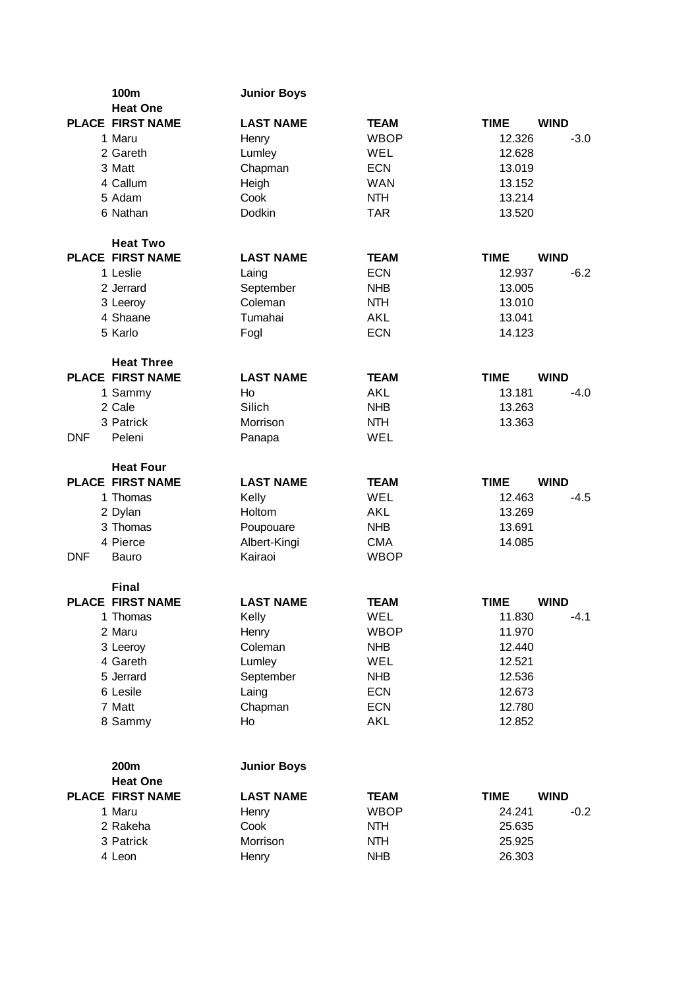|            | 100m                    | <b>Junior Boys</b> |             |             |             |
|------------|-------------------------|--------------------|-------------|-------------|-------------|
|            | <b>Heat One</b>         |                    |             |             |             |
|            | <b>PLACE FIRST NAME</b> | <b>LAST NAME</b>   | <b>TEAM</b> | <b>TIME</b> | <b>WIND</b> |
|            | 1 Maru                  | Henry              | <b>WBOP</b> | 12.326      | $-3.0$      |
|            | 2 Gareth                | Lumley             | WEL         | 12.628      |             |
|            | 3 Matt                  | Chapman            | <b>ECN</b>  | 13.019      |             |
|            | 4 Callum                | Heigh              | <b>WAN</b>  | 13.152      |             |
|            | 5 Adam                  | Cook               | <b>NTH</b>  | 13.214      |             |
|            | 6 Nathan                | Dodkin             | <b>TAR</b>  | 13.520      |             |
|            | <b>Heat Two</b>         |                    |             |             |             |
|            | <b>PLACE FIRST NAME</b> | <b>LAST NAME</b>   | <b>TEAM</b> | <b>TIME</b> | <b>WIND</b> |
|            | 1 Leslie                | Laing              | <b>ECN</b>  | 12.937      | $-6.2$      |
|            | 2 Jerrard               | September          | <b>NHB</b>  | 13.005      |             |
|            | 3 Leeroy                | Coleman            | <b>NTH</b>  | 13.010      |             |
|            | 4 Shaane                | Tumahai            | AKL         | 13.041      |             |
|            | 5 Karlo                 | Fogl               | <b>ECN</b>  | 14.123      |             |
|            | <b>Heat Three</b>       |                    |             |             |             |
|            | <b>PLACE FIRST NAME</b> | <b>LAST NAME</b>   | <b>TEAM</b> | <b>TIME</b> | <b>WIND</b> |
|            | 1 Sammy                 | Ho                 | <b>AKL</b>  | 13.181      | $-4.0$      |
|            | 2 Cale                  | Silich             | <b>NHB</b>  | 13.263      |             |
|            | 3 Patrick               | Morrison           | <b>NTH</b>  | 13.363      |             |
| <b>DNF</b> | Peleni                  | Panapa             | WEL         |             |             |
|            | <b>Heat Four</b>        |                    |             |             |             |
|            | <b>PLACE FIRST NAME</b> | <b>LAST NAME</b>   | <b>TEAM</b> | <b>TIME</b> | <b>WIND</b> |
|            | 1 Thomas                | Kelly              | <b>WEL</b>  | 12.463      | $-4.5$      |
|            | 2 Dylan                 | Holtom             | <b>AKL</b>  | 13.269      |             |
|            | 3 Thomas                | Poupouare          | <b>NHB</b>  | 13.691      |             |
|            | 4 Pierce                | Albert-Kingi       | <b>CMA</b>  | 14.085      |             |
| <b>DNF</b> | Bauro                   | Kairaoi            | <b>WBOP</b> |             |             |
|            | <b>Final</b>            |                    |             |             |             |
|            | <b>PLACE FIRST NAME</b> | <b>LAST NAME</b>   | <b>TEAM</b> | <b>TIME</b> | <b>WIND</b> |
|            | 1 Thomas                | Kelly              | WEL         | 11.830      | $-4.1$      |
|            | 2 Maru                  | Henry              | <b>WBOP</b> | 11.970      |             |
|            | 3 Leeroy                | Coleman            | <b>NHB</b>  | 12.440      |             |
|            | 4 Gareth                | Lumley             | WEL         | 12.521      |             |
|            | 5 Jerrard               | September          | <b>NHB</b>  | 12.536      |             |
|            | 6 Lesile                | Laing              | <b>ECN</b>  | 12.673      |             |
|            | 7 Matt                  | Chapman            | <b>ECN</b>  | 12.780      |             |
|            | 8 Sammy                 | Ho                 | <b>AKL</b>  | 12.852      |             |
|            | 200m                    | <b>Junior Boys</b> |             |             |             |
|            | <b>Heat One</b>         |                    |             |             |             |
|            | <b>PLACE FIRST NAME</b> | <b>LAST NAME</b>   | <b>TEAM</b> | <b>TIME</b> | <b>WIND</b> |
|            | 1 Maru                  | Henry              | <b>WBOP</b> | 24.241      | $-0.2$      |
|            | 2 Rakeha                | Cook               | <b>NTH</b>  | 25.635      |             |
|            | 3 Patrick               | Morrison           | <b>NTH</b>  | 25.925      |             |
|            | 4 Leon                  | Henry              | <b>NHB</b>  | 26.303      |             |
|            |                         |                    |             |             |             |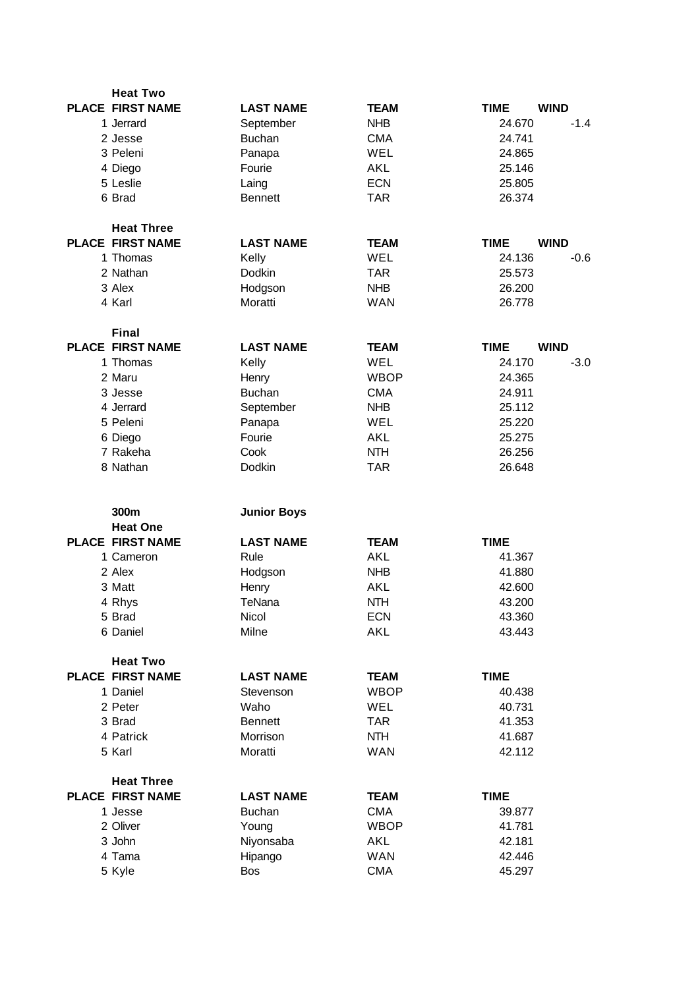| <b>Heat Two</b>         |                    |             |                            |
|-------------------------|--------------------|-------------|----------------------------|
| <b>PLACE FIRST NAME</b> | <b>LAST NAME</b>   | <b>TEAM</b> | <b>TIME</b><br><b>WIND</b> |
| 1 Jerrard               | September          | <b>NHB</b>  | 24.670<br>$-1.4$           |
| 2 Jesse                 | <b>Buchan</b>      | <b>CMA</b>  | 24.741                     |
| 3 Peleni                | Panapa             | WEL         | 24.865                     |
| 4 Diego                 | Fourie             | <b>AKL</b>  | 25.146                     |
| 5 Leslie                | Laing              | <b>ECN</b>  | 25.805                     |
| 6 Brad                  | <b>Bennett</b>     | <b>TAR</b>  | 26.374                     |
| <b>Heat Three</b>       |                    |             |                            |
| <b>PLACE FIRST NAME</b> | <b>LAST NAME</b>   | <b>TEAM</b> | <b>TIME</b><br><b>WIND</b> |
| 1 Thomas                |                    | WEL         | 24.136<br>$-0.6$           |
| 2 Nathan                | Kelly              | <b>TAR</b>  |                            |
|                         | Dodkin             |             | 25.573                     |
| 3 Alex                  | Hodgson            | <b>NHB</b>  | 26.200                     |
| 4 Karl                  | Moratti            | <b>WAN</b>  | 26.778                     |
| <b>Final</b>            |                    |             |                            |
| <b>PLACE FIRST NAME</b> | <b>LAST NAME</b>   | <b>TEAM</b> | <b>WIND</b><br><b>TIME</b> |
| 1 Thomas                | Kelly              | <b>WEL</b>  | 24.170<br>$-3.0$           |
| 2 Maru                  | Henry              | <b>WBOP</b> | 24.365                     |
| 3 Jesse                 | <b>Buchan</b>      | <b>CMA</b>  | 24.911                     |
| 4 Jerrard               | September          | <b>NHB</b>  | 25.112                     |
| 5 Peleni                | Panapa             | WEL         | 25.220                     |
| 6 Diego                 | Fourie             | <b>AKL</b>  | 25.275                     |
| 7 Rakeha                | Cook               | <b>NTH</b>  | 26.256                     |
| 8 Nathan                | Dodkin             | <b>TAR</b>  | 26.648                     |
|                         |                    |             |                            |
| 300m<br><b>Heat One</b> | <b>Junior Boys</b> |             |                            |
| <b>PLACE FIRST NAME</b> | <b>LAST NAME</b>   | <b>TEAM</b> | <b>TIME</b>                |
|                         |                    | <b>AKL</b>  |                            |
| 1 Cameron               | Rule               |             | 41.367                     |
| 2 Alex                  | Hodgson            | <b>NHB</b>  | 41.880                     |
| 3 Matt                  | Henry              | <b>AKL</b>  | 42.600                     |
| 4 Rhys                  | TeNana             | <b>NTH</b>  | 43.200                     |
| 5 Brad                  | Nicol              | <b>ECN</b>  | 43.360                     |
| 6 Daniel                | Milne              | <b>AKL</b>  | 43.443                     |
| <b>Heat Two</b>         |                    |             |                            |
| PLACE FIRST NAME        | <b>LAST NAME</b>   | <b>TEAM</b> | <b>TIME</b>                |
| 1 Daniel                | Stevenson          | <b>WBOP</b> | 40.438                     |
| 2 Peter                 | Waho               | WEL         | 40.731                     |
| 3 Brad                  | <b>Bennett</b>     | <b>TAR</b>  | 41.353                     |
| 4 Patrick               | Morrison           | <b>NTH</b>  | 41.687                     |
| 5 Karl                  | Moratti            | <b>WAN</b>  | 42.112                     |
| <b>Heat Three</b>       |                    |             |                            |
| <b>PLACE FIRST NAME</b> | <b>LAST NAME</b>   | <b>TEAM</b> | <b>TIME</b>                |
| 1 Jesse                 | <b>Buchan</b>      | <b>CMA</b>  | 39.877                     |
| 2 Oliver                | Young              | <b>WBOP</b> | 41.781                     |
| 3 John                  | Niyonsaba          | <b>AKL</b>  | 42.181                     |
| 4 Tama                  | Hipango            | <b>WAN</b>  | 42.446                     |
| 5 Kyle                  | Bos                | <b>CMA</b>  | 45.297                     |
|                         |                    |             |                            |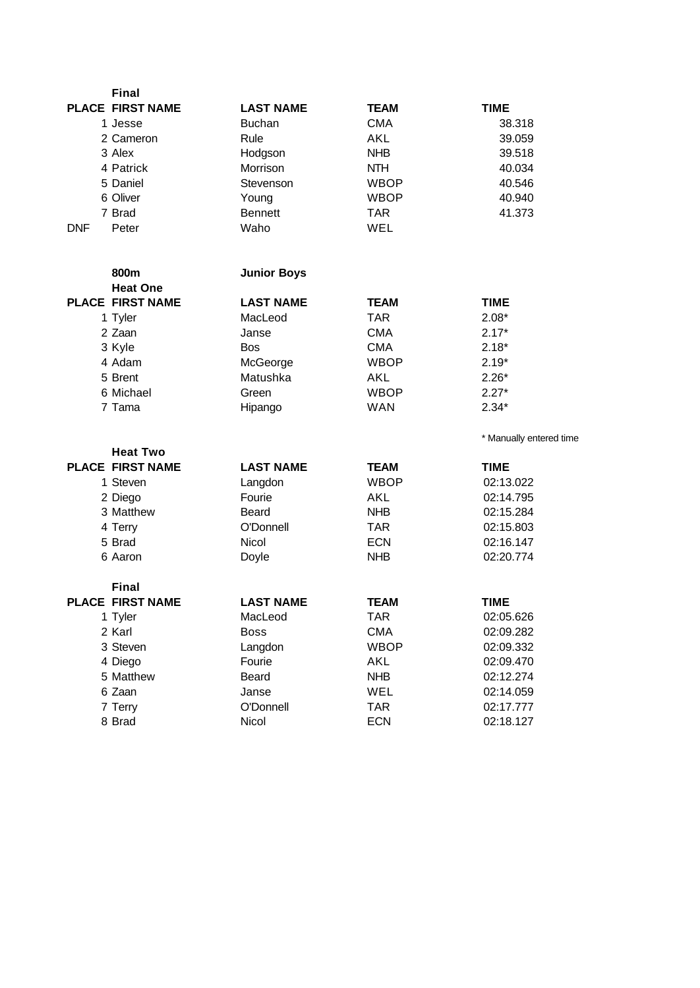| <b>Final</b>            |                    |             |                         |
|-------------------------|--------------------|-------------|-------------------------|
| <b>PLACE FIRST NAME</b> | <b>LAST NAME</b>   | <b>TEAM</b> | <b>TIME</b>             |
| 1 Jesse                 | <b>Buchan</b>      | <b>CMA</b>  | 38.318                  |
| 2 Cameron               | Rule               | AKL         | 39.059                  |
| 3 Alex                  | Hodgson            | <b>NHB</b>  | 39.518                  |
| 4 Patrick               | Morrison           | <b>NTH</b>  | 40.034                  |
| 5 Daniel                | Stevenson          | <b>WBOP</b> | 40.546                  |
| 6 Oliver                | Young              | <b>WBOP</b> | 40.940                  |
| 7 Brad                  | <b>Bennett</b>     | <b>TAR</b>  | 41.373                  |
| <b>DNF</b><br>Peter     | Waho               | WEL         |                         |
| 800m                    | <b>Junior Boys</b> |             |                         |
| <b>Heat One</b>         |                    |             |                         |
| <b>PLACE FIRST NAME</b> | <b>LAST NAME</b>   | <b>TEAM</b> | <b>TIME</b>             |
| 1 Tyler                 | MacLeod            | <b>TAR</b>  | $2.08*$                 |
| 2 Zaan                  | Janse              | <b>CMA</b>  | $2.17*$                 |
| 3 Kyle                  | <b>Bos</b>         | <b>CMA</b>  | $2.18*$                 |
| 4 Adam                  | McGeorge           | <b>WBOP</b> | $2.19*$                 |
| 5 Brent                 | Matushka           | AKL         | $2.26*$                 |
| 6 Michael               | Green              | <b>WBOP</b> | $2.27*$                 |
| 7 Tama                  | Hipango            | <b>WAN</b>  | $2.34*$                 |
| <b>Heat Two</b>         |                    |             | * Manually entered time |
| <b>PLACE FIRST NAME</b> | <b>LAST NAME</b>   | <b>TEAM</b> | <b>TIME</b>             |
| 1 Steven                | Langdon            | <b>WBOP</b> | 02:13.022               |
| 2 Diego                 | Fourie             | AKL         | 02:14.795               |
| 3 Matthew               | Beard              | <b>NHB</b>  | 02:15.284               |
| 4 Terry                 | O'Donnell          | <b>TAR</b>  | 02:15.803               |
| 5 Brad                  | Nicol              | <b>ECN</b>  | 02:16.147               |
| 6 Aaron                 | Doyle              | <b>NHB</b>  | 02:20.774               |
| <b>Final</b>            |                    |             |                         |
| <b>PLACE FIRST NAME</b> | <b>LAST NAME</b>   | <b>TEAM</b> | <b>TIME</b>             |
| 1 Tyler                 | MacLeod            | TAR         | 02:05.626               |
| 2 Karl                  | <b>Boss</b>        | <b>CMA</b>  | 02:09.282               |
| 3 Steven                | Langdon            | <b>WBOP</b> | 02:09.332               |
| 4 Diego                 | Fourie             | AKL         | 02:09.470               |
| 5 Matthew               | Beard              | <b>NHB</b>  | 02:12.274               |
| 6 Zaan                  | Janse              | WEL         | 02:14.059               |
| 7 Terry                 | O'Donnell          | <b>TAR</b>  | 02:17.777               |
| 8 Brad                  | Nicol              | <b>ECN</b>  | 02:18.127               |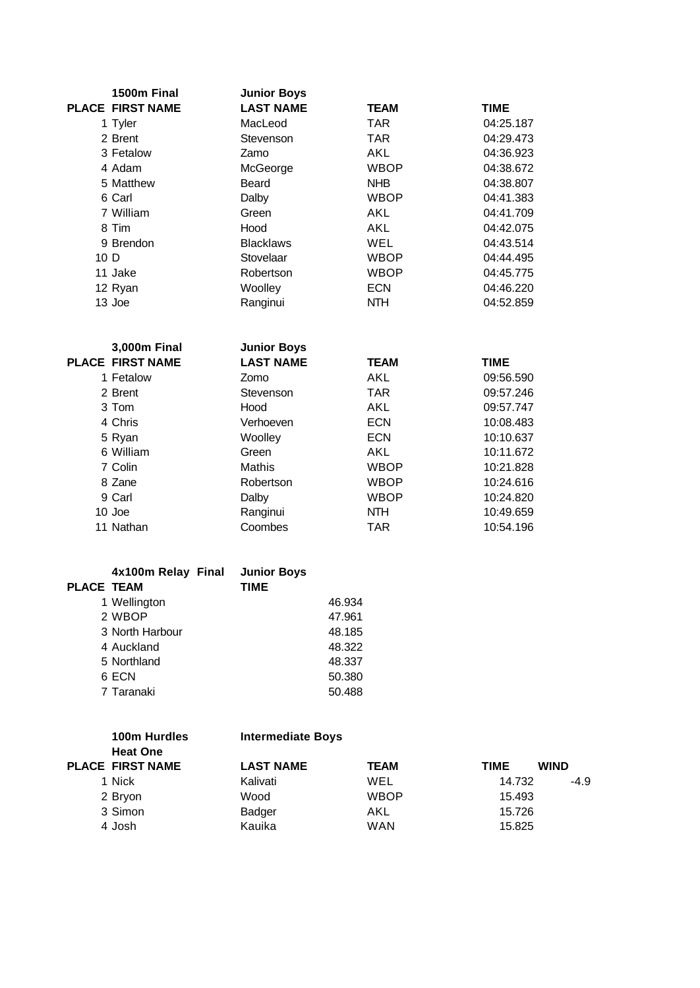|                 | 1500m Final      | <b>Junior Boys</b> |             |             |
|-----------------|------------------|--------------------|-------------|-------------|
|                 | PLACE FIRST NAME | <b>LAST NAME</b>   | <b>TEAM</b> | <b>TIME</b> |
|                 | 1 Tyler          | MacLeod            | <b>TAR</b>  | 04:25.187   |
|                 | 2 Brent          | Stevenson          | <b>TAR</b>  | 04:29.473   |
|                 | 3 Fetalow        | Zamo               | AKL         | 04:36.923   |
|                 | 4 Adam           | McGeorge           | <b>WBOP</b> | 04:38.672   |
|                 | 5 Matthew        | Beard              | <b>NHB</b>  | 04:38.807   |
|                 | 6 Carl           | Dalby              | <b>WBOP</b> | 04:41.383   |
|                 | 7 William        | Green              | AKL         | 04:41.709   |
|                 | 8 Tim            | Hood               | AKL         | 04:42.075   |
|                 | 9 Brendon        | <b>Blacklaws</b>   | <b>WEL</b>  | 04:43.514   |
| 10 <sub>D</sub> |                  | Stovelaar          | <b>WBOP</b> | 04:44.495   |
|                 | 11 Jake          | Robertson          | <b>WBOP</b> | 04:45.775   |
|                 | 12 Ryan          | Woolley            | <b>ECN</b>  | 04:46.220   |
|                 | 13 Joe           | Ranginui           | <b>NTH</b>  | 04:52.859   |

| 3,000m Final            | <b>Junior Boys</b> |             |             |
|-------------------------|--------------------|-------------|-------------|
| <b>PLACE FIRST NAME</b> | <b>LAST NAME</b>   | <b>TEAM</b> | <b>TIME</b> |
| 1 Fetalow               | Zomo               | AKL.        | 09:56.590   |
| 2 Brent                 | Stevenson          | <b>TAR</b>  | 09:57.246   |
| 3 Tom                   | Hood               | AKL.        | 09:57.747   |
| 4 Chris                 | Verhoeven          | <b>ECN</b>  | 10:08.483   |
| 5 Ryan                  | Woolley            | <b>ECN</b>  | 10:10.637   |
| 6 William               | Green              | <b>AKL</b>  | 10:11.672   |
| 7 Colin                 | Mathis             | <b>WBOP</b> | 10:21.828   |
| 8 Zane                  | Robertson          | <b>WBOP</b> | 10:24.616   |
| 9 Carl                  | Dalby              | WBOP        | 10:24.820   |
| $10$ Joe                | Ranginui           | <b>NTH</b>  | 10:49.659   |
| 11 Nathan               | Coombes            | <b>TAR</b>  | 10:54.196   |

|                   | 4x100m Relay Final | <b>Junior Boys</b> |        |
|-------------------|--------------------|--------------------|--------|
| <b>PLACE TEAM</b> |                    | <b>TIME</b>        |        |
|                   | 1 Wellington       |                    | 46.934 |
|                   | 2 WBOP             |                    | 47.961 |
|                   | 3 North Harbour    |                    | 48.185 |
|                   | 4 Auckland         |                    | 48.322 |
|                   | 5 Northland        |                    | 48.337 |
|                   | 6 ECN              |                    | 50.380 |
|                   | 7 Taranaki         |                    | 50.488 |

| 100m Hurdles<br><b>Intermediate Boys</b><br><b>Heat One</b> |                         |                  |             |             |             |
|-------------------------------------------------------------|-------------------------|------------------|-------------|-------------|-------------|
|                                                             | <b>PLACE FIRST NAME</b> | <b>LAST NAME</b> | <b>TEAM</b> | <b>TIME</b> | <b>WIND</b> |
|                                                             | 1 Nick                  | Kalivati         | WEL         | 14.732      | $-4.9$      |
|                                                             | 2 Bryon                 | Wood             | <b>WBOP</b> | 15.493      |             |
|                                                             | 3 Simon                 | Badger           | AKL         | 15.726      |             |
|                                                             | 4 Josh                  | Kauika           | WAN         | 15.825      |             |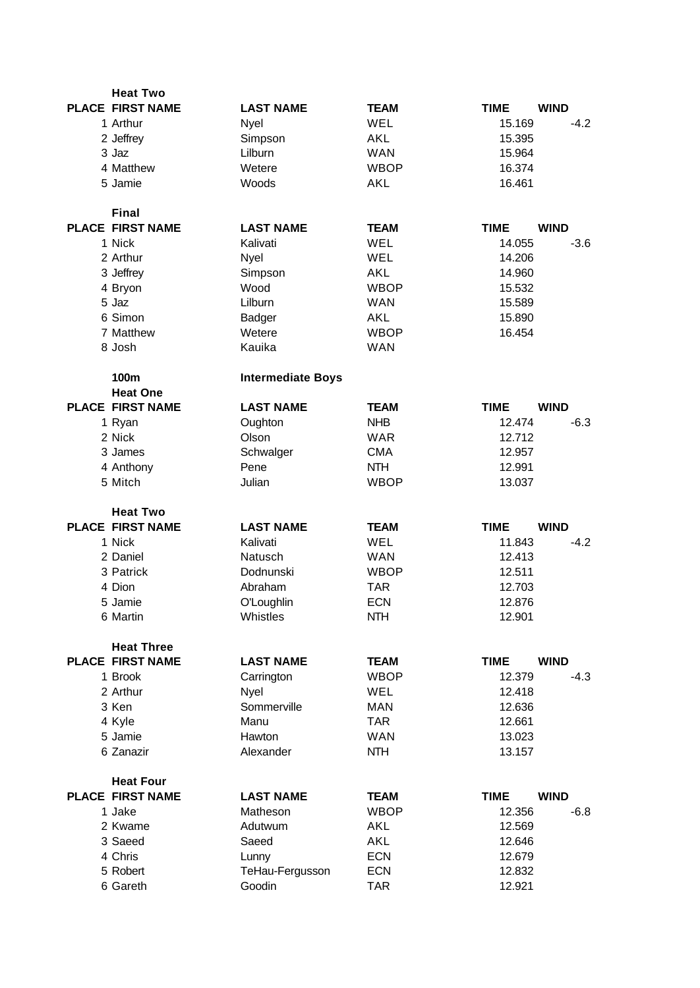| <b>Heat Two</b>         |                          |             |                            |
|-------------------------|--------------------------|-------------|----------------------------|
| <b>PLACE FIRST NAME</b> | <b>LAST NAME</b>         | <b>TEAM</b> | <b>TIME</b><br><b>WIND</b> |
| 1 Arthur                | Nyel                     | WEL         | 15.169<br>$-4.2$           |
| 2 Jeffrey               | Simpson                  | AKL         | 15.395                     |
| 3 Jaz                   | Lilburn                  | <b>WAN</b>  | 15.964                     |
| 4 Matthew               | Wetere                   | <b>WBOP</b> | 16.374                     |
| 5 Jamie                 | Woods                    | <b>AKL</b>  | 16.461                     |
|                         |                          |             |                            |
| <b>Final</b>            |                          |             |                            |
| <b>PLACE FIRST NAME</b> | <b>LAST NAME</b>         | <b>TEAM</b> | <b>TIME</b><br><b>WIND</b> |
| 1 Nick                  | Kalivati                 | WEL         | 14.055<br>$-3.6$           |
| 2 Arthur                | Nyel                     | WEL         | 14.206                     |
| 3 Jeffrey               | Simpson                  | <b>AKL</b>  | 14.960                     |
| 4 Bryon                 | Wood                     | <b>WBOP</b> | 15.532                     |
| 5 Jaz                   | Lilburn                  | <b>WAN</b>  | 15.589                     |
| 6 Simon                 | Badger                   | <b>AKL</b>  | 15.890                     |
| 7 Matthew               | Wetere                   | <b>WBOP</b> | 16.454                     |
| 8 Josh                  | Kauika                   | <b>WAN</b>  |                            |
|                         |                          |             |                            |
| 100m                    | <b>Intermediate Boys</b> |             |                            |
| <b>Heat One</b>         |                          |             |                            |
| <b>PLACE FIRST NAME</b> | <b>LAST NAME</b>         | <b>TEAM</b> | <b>WIND</b><br><b>TIME</b> |
| 1 Ryan                  | Oughton                  | <b>NHB</b>  | $-6.3$<br>12.474           |
| 2 Nick                  | Olson                    | <b>WAR</b>  | 12.712                     |
| 3 James                 | Schwalger                | <b>CMA</b>  | 12.957                     |
| 4 Anthony               | Pene                     | <b>NTH</b>  | 12.991                     |
| 5 Mitch                 | Julian                   | <b>WBOP</b> | 13.037                     |
|                         |                          |             |                            |
| <b>Heat Two</b>         |                          |             |                            |
| <b>PLACE FIRST NAME</b> | <b>LAST NAME</b>         | <b>TEAM</b> | <b>TIME</b><br><b>WIND</b> |
| 1 Nick                  | Kalivati                 | <b>WEL</b>  | 11.843<br>$-4.2$           |
| 2 Daniel                | Natusch                  | <b>WAN</b>  | 12.413                     |
| 3 Patrick               | Dodnunski                | <b>WBOP</b> | 12.511                     |
| 4 Dion                  | Abraham                  | <b>TAR</b>  | 12.703                     |
| 5 Jamie                 | O'Loughlin               | <b>ECN</b>  | 12.876                     |
| 6 Martin                | Whistles                 | <b>NTH</b>  | 12.901                     |
|                         |                          |             |                            |
| <b>Heat Three</b>       |                          |             |                            |
| <b>PLACE FIRST NAME</b> | <b>LAST NAME</b>         | <b>TEAM</b> | <b>WIND</b><br><b>TIME</b> |
| 1 Brook                 | Carrington               | <b>WBOP</b> | 12.379<br>$-4.3$           |
| 2 Arthur                | Nyel                     | WEL         | 12.418                     |
| 3 Ken                   | Sommerville              | <b>MAN</b>  | 12.636                     |
| 4 Kyle                  | Manu                     | <b>TAR</b>  | 12.661                     |
| 5 Jamie                 | Hawton                   | <b>WAN</b>  | 13.023                     |
| 6 Zanazir               | Alexander                | <b>NTH</b>  | 13.157                     |
|                         |                          |             |                            |
| <b>Heat Four</b>        |                          |             |                            |
| <b>PLACE FIRST NAME</b> | <b>LAST NAME</b>         | <b>TEAM</b> | <b>TIME</b><br><b>WIND</b> |
| 1 Jake                  | Matheson                 | <b>WBOP</b> | 12.356<br>$-6.8$           |
| 2 Kwame                 | Adutwum                  | <b>AKL</b>  | 12.569                     |
| 3 Saeed                 | Saeed                    | <b>AKL</b>  | 12.646                     |
| 4 Chris                 | Lunny                    | <b>ECN</b>  | 12.679                     |
| 5 Robert                | TeHau-Fergusson          | <b>ECN</b>  | 12.832                     |
| 6 Gareth                | Goodin                   | <b>TAR</b>  | 12.921                     |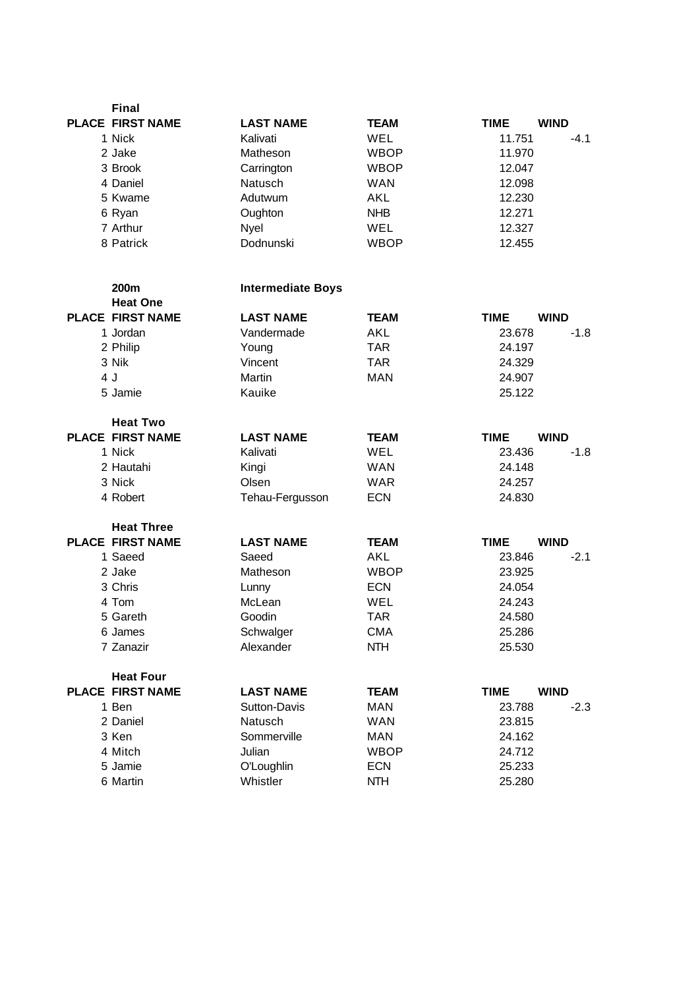| <b>Final</b>            |                          |             |                            |
|-------------------------|--------------------------|-------------|----------------------------|
| <b>PLACE FIRST NAME</b> | <b>LAST NAME</b>         | <b>TEAM</b> | <b>WIND</b><br><b>TIME</b> |
| 1 Nick                  | Kalivati                 | <b>WEL</b>  | 11.751<br>$-4.1$           |
| 2 Jake                  | Matheson                 | <b>WBOP</b> | 11.970                     |
| 3 Brook                 | Carrington               | <b>WBOP</b> | 12.047                     |
| 4 Daniel                | Natusch                  | <b>WAN</b>  | 12.098                     |
| 5 Kwame                 | Adutwum                  | AKL         | 12.230                     |
| 6 Ryan                  | Oughton                  | <b>NHB</b>  | 12.271                     |
| 7 Arthur                | Nyel                     | WEL         | 12.327                     |
| 8 Patrick               | Dodnunski                | <b>WBOP</b> | 12.455                     |
|                         |                          |             |                            |
| <b>200m</b>             | <b>Intermediate Boys</b> |             |                            |
| <b>Heat One</b>         |                          |             |                            |
| <b>PLACE FIRST NAME</b> | <b>LAST NAME</b>         | <b>TEAM</b> | <b>WIND</b><br><b>TIME</b> |
| 1 Jordan                | Vandermade               | <b>AKL</b>  | $-1.8$<br>23.678           |
| 2 Philip                | Young                    | <b>TAR</b>  | 24.197                     |
| 3 Nik                   | Vincent                  | <b>TAR</b>  | 24.329                     |
| 4 J                     | Martin                   | <b>MAN</b>  | 24.907                     |
| 5 Jamie                 | Kauike                   |             | 25.122                     |
|                         |                          |             |                            |
| <b>Heat Two</b>         |                          |             |                            |
| <b>PLACE FIRST NAME</b> | <b>LAST NAME</b>         | <b>TEAM</b> | <b>WIND</b><br><b>TIME</b> |
| 1 Nick                  | Kalivati                 | WEL         | $-1.8$<br>23.436           |
| 2 Hautahi               | Kingi                    | <b>WAN</b>  | 24.148                     |
| 3 Nick                  | Olsen                    | <b>WAR</b>  | 24.257                     |
| 4 Robert                | Tehau-Fergusson          | <b>ECN</b>  | 24.830                     |
| <b>Heat Three</b>       |                          |             |                            |
| <b>PLACE FIRST NAME</b> | <b>LAST NAME</b>         | <b>TEAM</b> | <b>TIME</b><br><b>WIND</b> |
| 1 Saeed                 | Saeed                    | <b>AKL</b>  | $-2.1$<br>23.846           |
| 2 Jake                  | Matheson                 | <b>WBOP</b> | 23.925                     |
| 3 Chris                 | Lunny                    | <b>ECN</b>  | 24.054                     |
| 4 Tom                   | McLean                   | <b>WEL</b>  | 24.243                     |
| 5 Gareth                | Goodin                   | <b>TAR</b>  | 24.580                     |
| 6 James                 | Schwalger                | <b>CMA</b>  | 25.286                     |
| 7 Zanazir               | Alexander                | <b>NTH</b>  | 25.530                     |
|                         |                          |             |                            |
| <b>Heat Four</b>        |                          |             |                            |
| <b>PLACE FIRST NAME</b> | <b>LAST NAME</b>         | <b>TEAM</b> | <b>WIND</b><br><b>TIME</b> |
| 1 Ben                   | Sutton-Davis             | <b>MAN</b>  | 23.788<br>$-2.3$           |
| 2 Daniel                | Natusch                  | <b>WAN</b>  | 23.815                     |
| 3 Ken                   | Sommerville              | <b>MAN</b>  | 24.162                     |
| 4 Mitch                 | Julian                   | <b>WBOP</b> | 24.712                     |
| 5 Jamie                 | O'Loughlin               | <b>ECN</b>  | 25.233                     |
| 6 Martin                | Whistler                 | <b>NTH</b>  | 25.280                     |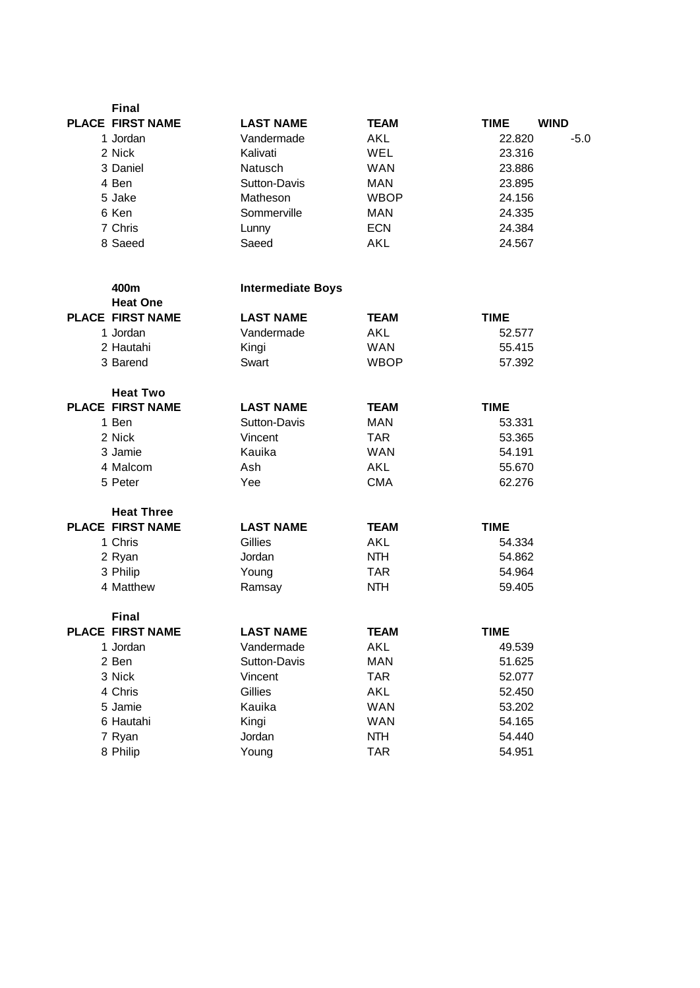| <b>Final</b>                     |                          |             |             |             |
|----------------------------------|--------------------------|-------------|-------------|-------------|
| <b>PLACE FIRST NAME</b>          | <b>LAST NAME</b>         | <b>TEAM</b> | <b>TIME</b> | <b>WIND</b> |
| 1 Jordan                         | Vandermade               | <b>AKL</b>  | 22.820      | $-5.0$      |
| 2 Nick                           | Kalivati                 | WEL         | 23.316      |             |
| 3 Daniel                         | Natusch                  | <b>WAN</b>  | 23.886      |             |
| 4 Ben                            | Sutton-Davis             | <b>MAN</b>  | 23.895      |             |
| 5 Jake                           | Matheson                 | <b>WBOP</b> | 24.156      |             |
| 6 Ken                            | Sommerville              | <b>MAN</b>  | 24.335      |             |
| 7 Chris                          | Lunny                    | <b>ECN</b>  | 24.384      |             |
| 8 Saeed                          | Saeed                    | <b>AKL</b>  | 24.567      |             |
| 400m                             | <b>Intermediate Boys</b> |             |             |             |
| <b>Heat One</b>                  |                          |             |             |             |
| <b>PLACE FIRST NAME</b>          | <b>LAST NAME</b>         | <b>TEAM</b> | <b>TIME</b> |             |
| 1 Jordan                         | Vandermade               | AKL         | 52.577      |             |
| 2 Hautahi                        | Kingi                    | <b>WAN</b>  | 55.415      |             |
| 3 Barend                         | Swart                    | <b>WBOP</b> | 57.392      |             |
| <b>Heat Two</b>                  |                          |             |             |             |
| <b>PLACE FIRST NAME</b>          | <b>LAST NAME</b>         | <b>TEAM</b> | <b>TIME</b> |             |
| 1 Ben                            | Sutton-Davis             | <b>MAN</b>  | 53.331      |             |
| 2 Nick                           | Vincent                  | <b>TAR</b>  | 53.365      |             |
| 3 Jamie                          | Kauika                   | <b>WAN</b>  | 54.191      |             |
| 4 Malcom                         | Ash                      | <b>AKL</b>  | 55.670      |             |
| 5 Peter                          | Yee                      | <b>CMA</b>  | 62.276      |             |
| <b>Heat Three</b>                |                          |             |             |             |
| <b>PLACE FIRST NAME</b>          | <b>LAST NAME</b>         | <b>TEAM</b> | <b>TIME</b> |             |
| 1 Chris                          | Gillies                  | <b>AKL</b>  | 54.334      |             |
| 2 Ryan                           | Jordan                   | <b>NTH</b>  | 54.862      |             |
| 3 Philip                         | Young                    | <b>TAR</b>  | 54.964      |             |
| 4 Matthew                        | Ramsay                   | <b>NTH</b>  | 59.405      |             |
| Final<br><b>PLACE FIRST NAME</b> | <b>LAST NAME</b>         | <b>TEAM</b> | <b>TIME</b> |             |
| 1 Jordan                         | Vandermade               | <b>AKL</b>  | 49.539      |             |
| 2 Ben                            | Sutton-Davis             | <b>MAN</b>  | 51.625      |             |
| 3 Nick                           | Vincent                  | <b>TAR</b>  | 52.077      |             |
| 4 Chris                          | Gillies                  | <b>AKL</b>  | 52.450      |             |
| 5 Jamie                          | Kauika                   | <b>WAN</b>  | 53.202      |             |
| 6 Hautahi                        | Kingi                    | <b>WAN</b>  | 54.165      |             |
| 7 Ryan                           | Jordan                   | NTH         | 54.440      |             |
| 8 Philip                         | Young                    | <b>TAR</b>  | 54.951      |             |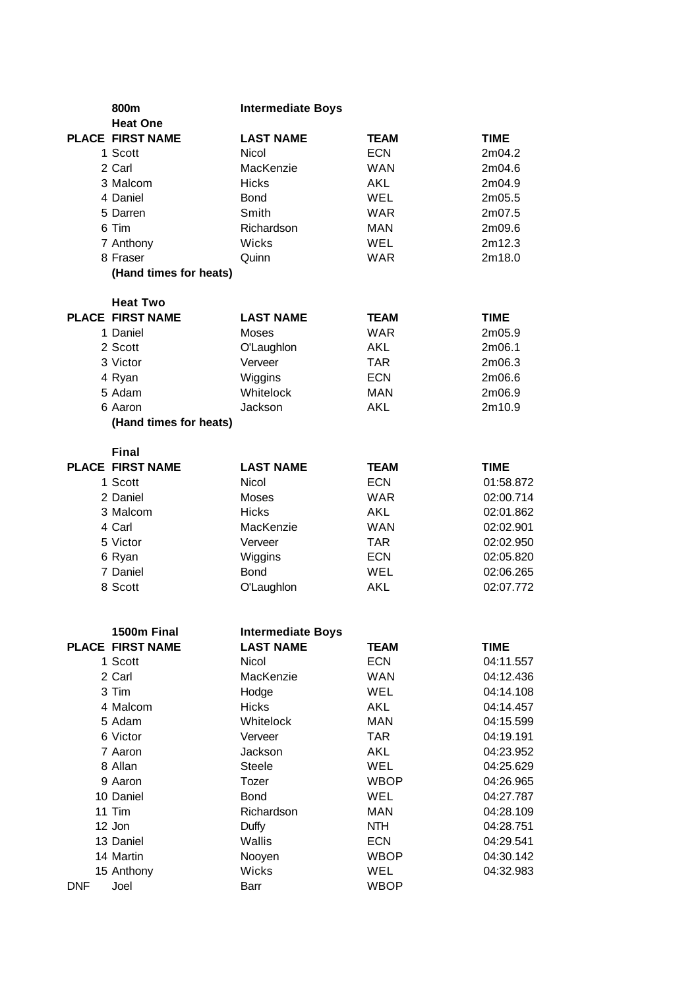| 800m                                    | <b>Intermediate Boys</b> |             |             |
|-----------------------------------------|--------------------------|-------------|-------------|
| <b>Heat One</b>                         |                          |             |             |
| <b>PLACE FIRST NAME</b>                 | <b>LAST NAME</b>         | <b>TEAM</b> | <b>TIME</b> |
| 1 Scott                                 | Nicol                    | <b>ECN</b>  | 2m04.2      |
| 2 Carl                                  | MacKenzie                | <b>WAN</b>  | 2m04.6      |
| 3 Malcom                                | <b>Hicks</b>             | <b>AKL</b>  | 2m04.9      |
| 4 Daniel                                | <b>Bond</b>              | WEL         | 2m05.5      |
| 5 Darren                                | Smith                    | <b>WAR</b>  | 2m07.5      |
| 6 Tim                                   | Richardson               | <b>MAN</b>  | 2m09.6      |
| 7 Anthony                               | Wicks                    | WEL         | 2m12.3      |
| 8 Fraser                                | Quinn                    | <b>WAR</b>  | 2m18.0      |
| (Hand times for heats)                  |                          |             |             |
| <b>Heat Two</b>                         |                          |             |             |
| <b>PLACE FIRST NAME</b>                 | <b>LAST NAME</b>         | <b>TEAM</b> | <b>TIME</b> |
| 1 Daniel                                | Moses                    | <b>WAR</b>  | 2m05.9      |
| 2 Scott                                 | O'Laughlon               | <b>AKL</b>  | 2m06.1      |
| 3 Victor                                | Verveer                  | <b>TAR</b>  | 2m06.3      |
| 4 Ryan                                  | Wiggins                  | <b>ECN</b>  | 2m06.6      |
| 5 Adam                                  | Whitelock                | <b>MAN</b>  | 2m06.9      |
| 6 Aaron                                 | Jackson                  | <b>AKL</b>  | 2m10.9      |
| (Hand times for heats)                  |                          |             |             |
|                                         |                          |             |             |
| <b>Final</b><br><b>PLACE FIRST NAME</b> | <b>LAST NAME</b>         | <b>TEAM</b> | <b>TIME</b> |
| 1 Scott                                 | Nicol                    | <b>ECN</b>  | 01:58.872   |
| 2 Daniel                                | Moses                    | <b>WAR</b>  | 02:00.714   |
| 3 Malcom                                | <b>Hicks</b>             | AKL         | 02:01.862   |
| 4 Carl                                  | MacKenzie                | <b>WAN</b>  | 02:02.901   |
|                                         | Verveer                  | <b>TAR</b>  | 02:02.950   |
| 5 Victor                                | Wiggins                  | <b>ECN</b>  | 02:05.820   |
| 6 Ryan<br>7 Daniel                      | <b>Bond</b>              | WEL         | 02:06.265   |
| 8 Scott                                 |                          | <b>AKL</b>  | 02:07.772   |
|                                         | O'Laughlon               |             |             |
|                                         |                          |             |             |
| 1500m Final                             | <b>Intermediate Boys</b> |             |             |
| <b>PLACE FIRST NAME</b>                 | <b>LAST NAME</b>         | <b>TEAM</b> | <b>TIME</b> |
| 1 Scott                                 | Nicol                    | <b>ECN</b>  | 04:11.557   |
| 2 Carl                                  | MacKenzie                | <b>WAN</b>  | 04:12.436   |
| 3 Tim                                   | Hodge                    | WEL         | 04:14.108   |
| 4 Malcom                                | <b>Hicks</b>             | AKL         | 04:14.457   |
| 5 Adam                                  | Whitelock                | <b>MAN</b>  | 04:15.599   |
| 6 Victor                                | Verveer                  | <b>TAR</b>  | 04:19.191   |
| 7 Aaron                                 | Jackson                  | <b>AKL</b>  | 04:23.952   |
| 8 Allan                                 | <b>Steele</b>            | WEL         | 04:25.629   |
| 9 Aaron                                 | Tozer                    | <b>WBOP</b> | 04:26.965   |
| 10 Daniel                               | <b>Bond</b>              | WEL         | 04:27.787   |
| 11 Tim                                  | Richardson               | <b>MAN</b>  | 04:28.109   |
| 12 Jon                                  | Duffy                    | <b>NTH</b>  | 04:28.751   |
| 13 Daniel                               | Wallis                   | <b>ECN</b>  | 04:29.541   |
| 14 Martin                               | Nooyen                   | <b>WBOP</b> | 04:30.142   |
| 15 Anthony                              | Wicks                    | WEL         | 04:32.983   |
| <b>DNF</b><br>Joel                      | Barr                     | <b>WBOP</b> |             |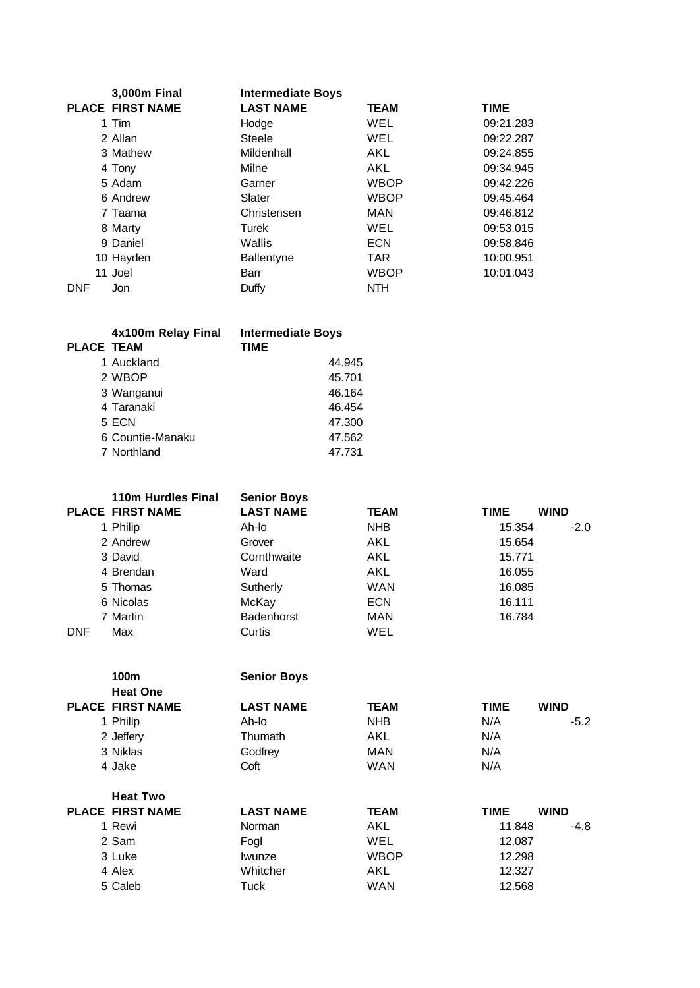| 3,000m Final<br><b>Intermediate Boys</b> |                         |                  |             |             |
|------------------------------------------|-------------------------|------------------|-------------|-------------|
|                                          | <b>PLACE FIRST NAME</b> | <b>LAST NAME</b> | <b>TEAM</b> | <b>TIME</b> |
|                                          | 1 Tim                   | Hodge            | <b>WEL</b>  | 09:21.283   |
|                                          | 2 Allan                 | Steele           | <b>WEL</b>  | 09:22.287   |
|                                          | 3 Mathew                | Mildenhall       | AKL         | 09:24.855   |
|                                          | 4 Tony                  | Milne            | <b>AKL</b>  | 09:34.945   |
|                                          | 5 Adam                  | Garner           | <b>WBOP</b> | 09:42.226   |
|                                          | 6 Andrew                | Slater           | <b>WBOP</b> | 09:45.464   |
|                                          | 7 Taama                 | Christensen      | MAN         | 09:46.812   |
|                                          | 8 Marty                 | Turek            | <b>WEL</b>  | 09:53.015   |
|                                          | 9 Daniel                | Wallis           | <b>ECN</b>  | 09:58.846   |
|                                          | 10 Hayden               | Ballentyne       | <b>TAR</b>  | 10:00.951   |
|                                          | 11 Joel                 | Barr             | <b>WBOP</b> | 10:01.043   |
| <b>DNF</b>                               | Jon                     | Duffy            | <b>NTH</b>  |             |

| <b>PLACE TEAM</b> | 4x100m Relay Final | <b>Intermediate Boys</b><br><b>TIME</b> |
|-------------------|--------------------|-----------------------------------------|
|                   | 1 Auckland         | 44.945                                  |
|                   | 2 WBOP             | 45.701                                  |
|                   | 3 Wanganui         | 46.164                                  |
|                   | 4 Taranaki         | 46.454                                  |
|                   | 5 ECN              | 47.300                                  |
|                   | 6 Countie-Manaku   | 47.562                                  |
|                   | 7 Northland        | 47.731                                  |
|                   |                    |                                         |

|            | 110m Hurdles Final      | <b>Senior Boys</b> |             |             |             |
|------------|-------------------------|--------------------|-------------|-------------|-------------|
|            | <b>PLACE FIRST NAME</b> | <b>LAST NAME</b>   | <b>TEAM</b> | <b>TIME</b> | <b>WIND</b> |
|            | 1 Philip                | Ah-lo              | <b>NHB</b>  | 15.354      | $-2.0$      |
|            | 2 Andrew                | Grover             | AKL         | 15.654      |             |
|            | 3 David                 | Cornthwaite        | AKL         | 15.771      |             |
|            | 4 Brendan               | Ward               | AKL         | 16.055      |             |
|            | 5 Thomas                | Sutherly           | WAN         | 16.085      |             |
|            | 6 Nicolas               | McKay              | <b>ECN</b>  | 16.111      |             |
|            | 7 Martin                | <b>Badenhorst</b>  | <b>MAN</b>  | 16.784      |             |
| <b>DNF</b> | Max                     | Curtis             | WEL         |             |             |

**100m Senior Boys**

| <b>LAST NAME</b> | <b>TEAM</b> | <b>TIME</b> | <b>WIND</b>                                    |
|------------------|-------------|-------------|------------------------------------------------|
| Ah-lo            | <b>NHB</b>  | N/A         | $-5.2$                                         |
| Thumath          | <b>AKL</b>  | N/A         |                                                |
| Godfrey          | MAN         | N/A         |                                                |
| Coft             | <b>WAN</b>  | N/A         |                                                |
|                  |             |             |                                                |
| <b>LAST NAME</b> | <b>TEAM</b> | <b>TIME</b> | <b>WIND</b>                                    |
| Norman           | <b>AKL</b>  |             | $-4.8$                                         |
| Fogl             | WEL         |             |                                                |
| Iwunze           | <b>WBOP</b> |             |                                                |
| Whitcher         | AKL         |             |                                                |
| Tuck             | <b>WAN</b>  |             |                                                |
|                  |             |             | 11.848<br>12.087<br>12.298<br>12.327<br>12.568 |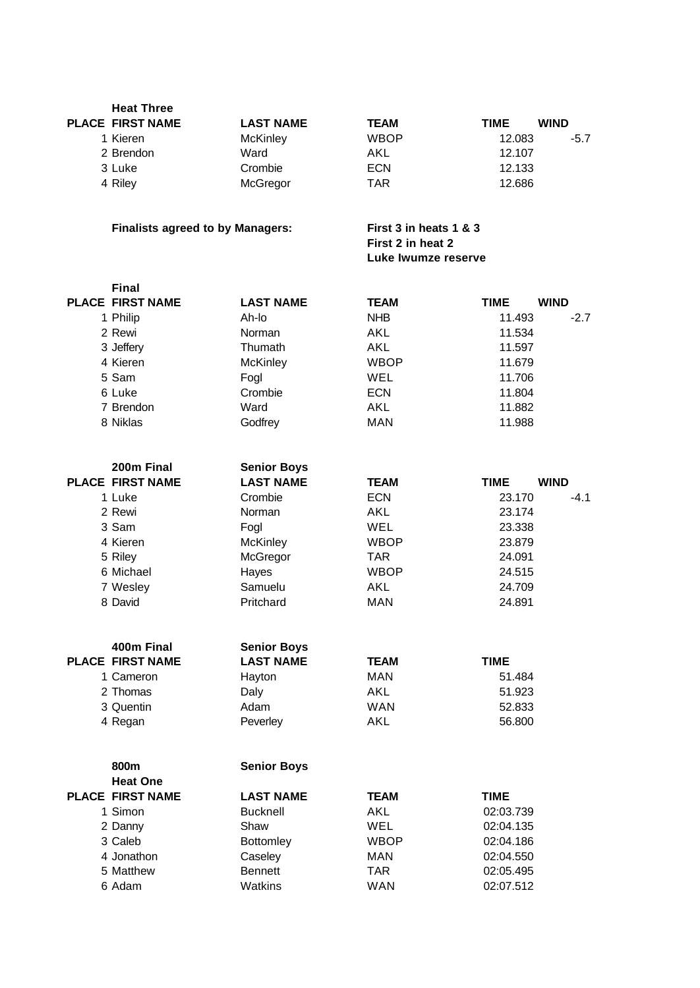| <b>Heat Three</b>                       |                    |                                                                    |             |             |
|-----------------------------------------|--------------------|--------------------------------------------------------------------|-------------|-------------|
| <b>PLACE FIRST NAME</b>                 | <b>LAST NAME</b>   | <b>TEAM</b>                                                        | <b>TIME</b> | <b>WIND</b> |
| 1 Kieren                                | <b>McKinley</b>    | <b>WBOP</b>                                                        | 12.083      | $-5.7$      |
| 2 Brendon                               | Ward               | AKL                                                                | 12.107      |             |
| 3 Luke                                  | Crombie            | <b>ECN</b>                                                         | 12.133      |             |
| 4 Riley                                 | McGregor           | <b>TAR</b>                                                         | 12.686      |             |
|                                         |                    |                                                                    |             |             |
| <b>Finalists agreed to by Managers:</b> |                    | First 3 in heats 1 & 3<br>First 2 in heat 2<br>Luke Iwumze reserve |             |             |
| <b>Final</b>                            |                    |                                                                    |             |             |
| <b>PLACE FIRST NAME</b>                 | <b>LAST NAME</b>   | <b>TEAM</b>                                                        | <b>TIME</b> | <b>WIND</b> |
| 1 Philip                                | Ah-lo              | <b>NHB</b>                                                         | 11.493      | $-2.7$      |
| 2 Rewi                                  | Norman             | AKL                                                                | 11.534      |             |
| 3 Jeffery                               | Thumath            | AKL                                                                | 11.597      |             |
| 4 Kieren                                | <b>McKinley</b>    | <b>WBOP</b>                                                        | 11.679      |             |
| 5 Sam                                   | Fogl               | WEL                                                                | 11.706      |             |
| 6 Luke                                  | Crombie            | <b>ECN</b>                                                         | 11.804      |             |
| 7 Brendon                               | Ward               | <b>AKL</b>                                                         | 11.882      |             |
| 8 Niklas                                | Godfrey            | <b>MAN</b>                                                         | 11.988      |             |
|                                         |                    |                                                                    |             |             |
| 200m Final                              | <b>Senior Boys</b> |                                                                    |             |             |
| <b>PLACE FIRST NAME</b>                 | <b>LAST NAME</b>   | <b>TEAM</b>                                                        | <b>TIME</b> | <b>WIND</b> |
| 1 Luke                                  | Crombie            | <b>ECN</b>                                                         | 23.170      | $-4.1$      |
| 2 Rewi                                  | Norman             | <b>AKL</b>                                                         | 23.174      |             |
| 3 Sam                                   | Fogl               | <b>WEL</b>                                                         | 23.338      |             |
| 4 Kieren                                | <b>McKinley</b>    | <b>WBOP</b>                                                        | 23.879      |             |
| 5 Riley                                 | McGregor           | <b>TAR</b>                                                         | 24.091      |             |
| 6 Michael                               | Hayes              | <b>WBOP</b>                                                        | 24.515      |             |
| 7 Wesley                                | Samuelu            | AKL                                                                | 24.709      |             |
| 8 David                                 | Pritchard          | <b>MAN</b>                                                         | 24.891      |             |
|                                         |                    |                                                                    |             |             |
| 400m Final                              | <b>Senior Boys</b> |                                                                    |             |             |
| <b>PLACE FIRST NAME</b>                 | <b>LAST NAME</b>   | TEAM                                                               | <b>TIME</b> |             |
| 1 Cameron                               | Hayton             | <b>MAN</b>                                                         | 51.484      |             |
| 2 Thomas                                | Daly               | <b>AKL</b>                                                         | 51.923      |             |
| 3 Quentin                               | Adam               | <b>WAN</b>                                                         | 52.833      |             |
| 4 Regan                                 | Peverley           | AKL                                                                | 56.800      |             |
|                                         |                    |                                                                    |             |             |
| 800m                                    | <b>Senior Boys</b> |                                                                    |             |             |
| <b>Heat One</b>                         |                    |                                                                    |             |             |
| <b>PLACE FIRST NAME</b>                 | <b>LAST NAME</b>   | <b>TEAM</b>                                                        | <b>TIME</b> |             |
| 1 Simon                                 | <b>Bucknell</b>    | <b>AKL</b>                                                         | 02:03.739   |             |
| 2 Danny                                 | Shaw               | WEL                                                                | 02:04.135   |             |
| 3 Caleb                                 | Bottomley          | <b>WBOP</b>                                                        | 02:04.186   |             |
| 4 Jonathon                              | Caseley            | <b>MAN</b>                                                         | 02:04.550   |             |
| 5 Matthew                               | <b>Bennett</b>     | <b>TAR</b>                                                         | 02:05.495   |             |
| 6 Adam                                  | Watkins            | <b>WAN</b>                                                         | 02:07.512   |             |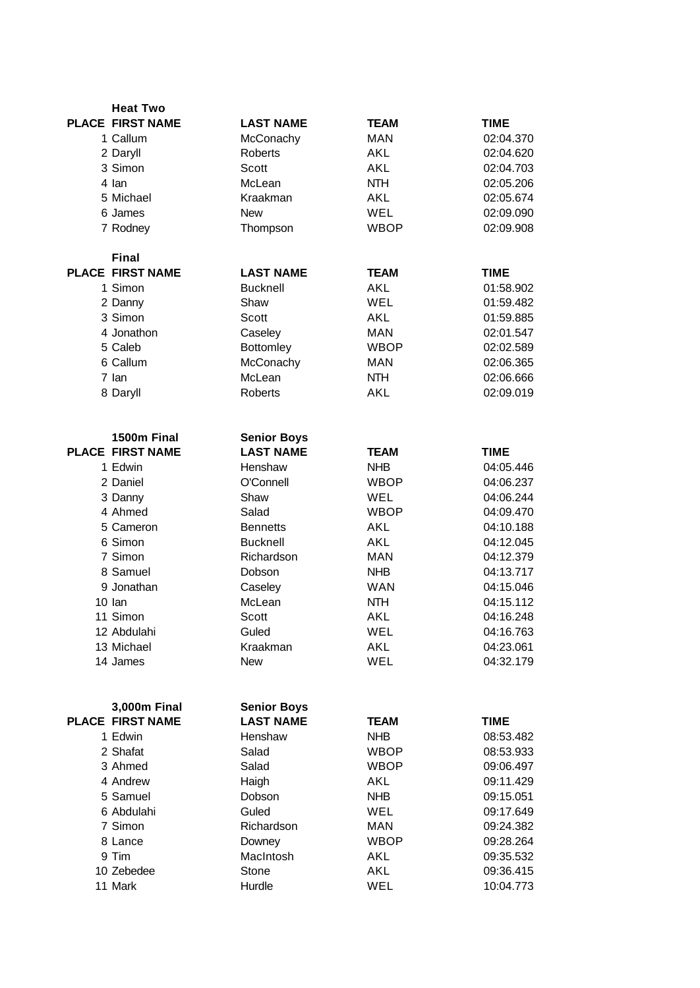| <b>Heat Two</b>         |                    |             |             |
|-------------------------|--------------------|-------------|-------------|
| <b>PLACE FIRST NAME</b> | <b>LAST NAME</b>   | <b>TEAM</b> | <b>TIME</b> |
| 1 Callum                | McConachy          | <b>MAN</b>  | 02:04.370   |
| 2 Daryll                | Roberts            | AKL         | 02:04.620   |
| 3 Simon                 | Scott              | AKL         | 02:04.703   |
| 4 lan                   | McLean             | <b>NTH</b>  | 02:05.206   |
| 5 Michael               | Kraakman           | AKL         | 02:05.674   |
| 6 James                 | <b>New</b>         | WEL         | 02:09.090   |
| 7 Rodney                | Thompson           | <b>WBOP</b> | 02:09.908   |
|                         |                    |             |             |
| <b>Final</b>            |                    |             |             |
| <b>PLACE FIRST NAME</b> | <b>LAST NAME</b>   | <b>TEAM</b> | <b>TIME</b> |
| 1 Simon                 | <b>Bucknell</b>    | <b>AKL</b>  | 01:58.902   |
| 2 Danny                 | Shaw               | WEL         | 01:59.482   |
| 3 Simon                 | Scott              | AKL         | 01:59.885   |
| 4 Jonathon              | Caseley            | <b>MAN</b>  | 02:01.547   |
| 5 Caleb                 | <b>Bottomley</b>   | <b>WBOP</b> | 02:02.589   |
| 6 Callum                | McConachy          | <b>MAN</b>  | 02:06.365   |
| 7 lan                   | McLean             | <b>NTH</b>  | 02:06.666   |
| 8 Daryll                | Roberts            | AKL         | 02:09.019   |
|                         |                    |             |             |
| 1500m Final             | <b>Senior Boys</b> |             |             |
| <b>PLACE FIRST NAME</b> | <b>LAST NAME</b>   | <b>TEAM</b> | <b>TIME</b> |
| 1 Edwin                 | Henshaw            | <b>NHB</b>  | 04:05.446   |
| 2 Daniel                | O'Connell          | <b>WBOP</b> | 04:06.237   |
| 3 Danny                 | Shaw               | WEL         | 04:06.244   |
| 4 Ahmed                 | Salad              | <b>WBOP</b> | 04:09.470   |
| 5 Cameron               | <b>Bennetts</b>    | AKL         | 04:10.188   |
| 6 Simon                 | <b>Bucknell</b>    | <b>AKL</b>  | 04:12.045   |
| 7 Simon                 | Richardson         | <b>MAN</b>  | 04:12.379   |
| 8 Samuel                | Dobson             | <b>NHB</b>  | 04:13.717   |
| 9 Jonathan              | Caseley            | <b>WAN</b>  | 04:15.046   |
| 10 lan                  | McLean             | <b>NTH</b>  | 04:15.112   |
| 11 Simon                | Scott              | <b>AKL</b>  | 04:16.248   |
| 12 Abdulahi             | Guled              | WEL         | 04:16.763   |
| 13 Michael              | Kraakman           | <b>AKL</b>  | 04:23.061   |
| 14 James                | <b>New</b>         | <b>WEL</b>  | 04:32.179   |
|                         |                    |             |             |
|                         |                    |             |             |
| 3,000m Final            | <b>Senior Boys</b> |             |             |
| <b>PLACE FIRST NAME</b> | <b>LAST NAME</b>   | <b>TEAM</b> | <b>TIME</b> |
| 1 Edwin                 | Henshaw            | <b>NHB</b>  | 08:53.482   |
| 2 Shafat                | Salad              | <b>WBOP</b> | 08:53.933   |
| 3 Ahmed                 | Salad              | <b>WBOP</b> | 09:06.497   |
| 4 Andrew                | Haigh              | <b>AKL</b>  | 09:11.429   |
| 5 Samuel                | Dobson             | <b>NHB</b>  | 09:15.051   |
| 6 Abdulahi              | Guled              | WEL         | 09:17.649   |
| 7 Simon                 | Richardson         | <b>MAN</b>  | 09:24.382   |
| 8 Lance                 | Downey             | <b>WBOP</b> | 09:28.264   |
| 9 Tim                   | MacIntosh          | <b>AKL</b>  | 09:35.532   |
| 10 Zebedee              | Stone              | <b>AKL</b>  | 09:36.415   |
| 11 Mark                 | Hurdle             | WEL         | 10:04.773   |